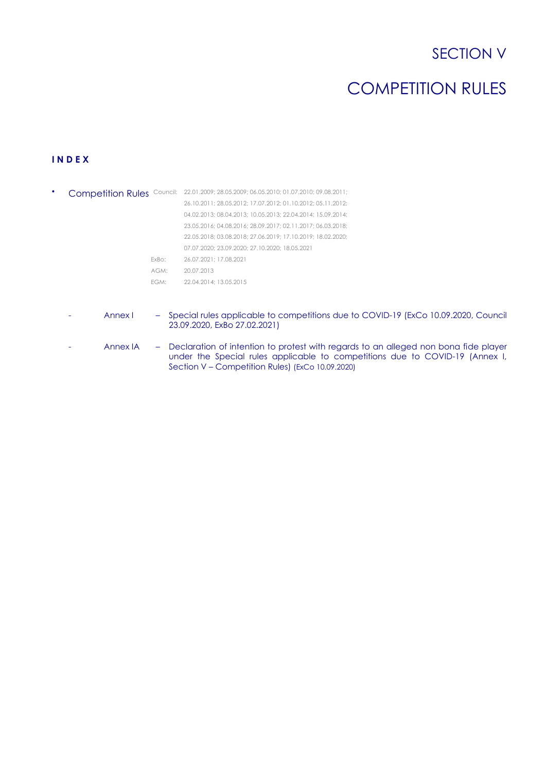# SECTION V

# COMPETITION RULES

# **I N D E X**

|                  | Competition Rules Council: 22.01.2009; 28.05.2009; 06.05.2010; 01.07.2010; 09.08.2011; |
|------------------|----------------------------------------------------------------------------------------|
|                  | 26.10.2011; 28.05.2012; 17.07.2012; 01.10.2012; 05.11.2012;                            |
|                  | 04.02.2013: 08.04.2013: 10.05.2013: 22.04.2014: 15.09.2014:                            |
|                  | 23.05.2016: 04.08.2016: 28.09.2017: 02.11.2017: 06.03.2018:                            |
|                  | 22.05.2018: 03.08.2018: 27.06.2019: 17.10.2019: 18.02.2020:                            |
|                  | 07.07.2020: 23.09.2020: 27.10.2020: 18.05.2021                                         |
| ExBo:            | 26.07.2021: 17.08.2021                                                                 |
| $AGM^+$          | 20.07.2013                                                                             |
| FGM <sup>.</sup> | 22.04.2014: 13.05.2015                                                                 |

- Annex I Special rules applicable to competitions due to COVID-19 (ExCo 10.09.2020, Council 23.09.2020, ExBo 27.02.2021)
- Annex IA Declaration of intention to protest with regards to an alleged non bona fide player under the Special rules applicable to competitions due to COVID-19 (Annex I, Section V – Competition Rules) (ExCo 10.09.2020)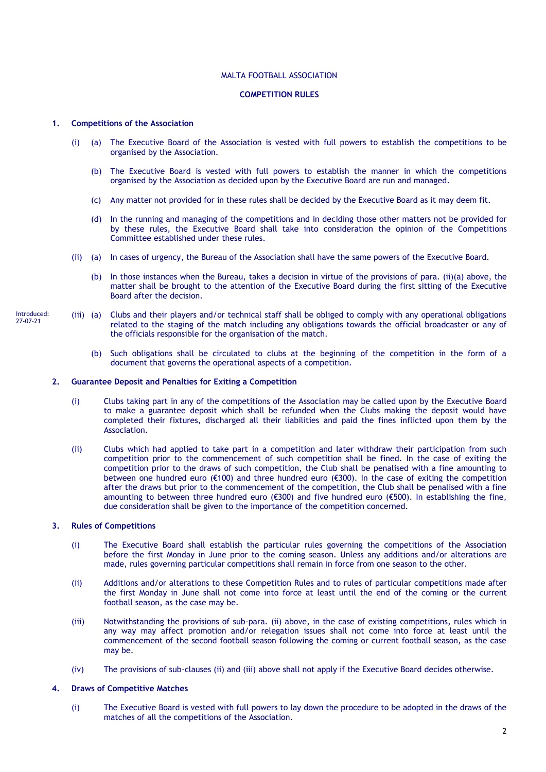# MALTA FOOTBALL ASSOCIATION

# **COMPETITION RULES**

# **1. Competitions of the Association**

- (i) (a) The Executive Board of the Association is vested with full powers to establish the competitions to be organised by the Association.
	- (b) The Executive Board is vested with full powers to establish the manner in which the competitions organised by the Association as decided upon by the Executive Board are run and managed.
	- (c) Any matter not provided for in these rules shall be decided by the Executive Board as it may deem fit.
	- (d) In the running and managing of the competitions and in deciding those other matters not be provided for by these rules, the Executive Board shall take into consideration the opinion of the Competitions Committee established under these rules.
- (ii) (a) In cases of urgency, the Bureau of the Association shall have the same powers of the Executive Board.
	- (b) In those instances when the Bureau, takes a decision in virtue of the provisions of para. (ii)(a) above, the matter shall be brought to the attention of the Executive Board during the first sitting of the Executive Board after the decision.
- (iii) (a) Clubs and their players and/or technical staff shall be obliged to comply with any operational obligations related to the staging of the match including any obligations towards the official broadcaster or any of the officials responsible for the organisation of the match.
	- (b) Such obligations shall be circulated to clubs at the beginning of the competition in the form of a document that governs the operational aspects of a competition.

### **2. Guarantee Deposit and Penalties for Exiting a Competition**

- (i) Clubs taking part in any of the competitions of the Association may be called upon by the Executive Board to make a guarantee deposit which shall be refunded when the Clubs making the deposit would have completed their fixtures, discharged all their liabilities and paid the fines inflicted upon them by the Association.
- (ii) Clubs which had applied to take part in a competition and later withdraw their participation from such competition prior to the commencement of such competition shall be fined. In the case of exiting the competition prior to the draws of such competition, the Club shall be penalised with a fine amounting to between one hundred euro (€100) and three hundred euro (€300). In the case of exiting the competition after the draws but prior to the commencement of the competition, the Club shall be penalised with a fine amounting to between three hundred euro (€300) and five hundred euro (€500). In establishing the fine, due consideration shall be given to the importance of the competition concerned.

# **3. Rules of Competitions**

- (i) The Executive Board shall establish the particular rules governing the competitions of the Association before the first Monday in June prior to the coming season. Unless any additions and/or alterations are made, rules governing particular competitions shall remain in force from one season to the other.
- (ii) Additions and/or alterations to these Competition Rules and to rules of particular competitions made after the first Monday in June shall not come into force at least until the end of the coming or the current football season, as the case may be.
- (iii) Notwithstanding the provisions of sub-para. (ii) above, in the case of existing competitions, rules which in any way may affect promotion and/or relegation issues shall not come into force at least until the commencement of the second football season following the coming or current football season, as the case may be.
- (iv) The provisions of sub-clauses (ii) and (iii) above shall not apply if the Executive Board decides otherwise.

# **4. Draws of Competitive Matches**

(i) The Executive Board is vested with full powers to lay down the procedure to be adopted in the draws of the matches of all the competitions of the Association.

Introduced: 27-07-21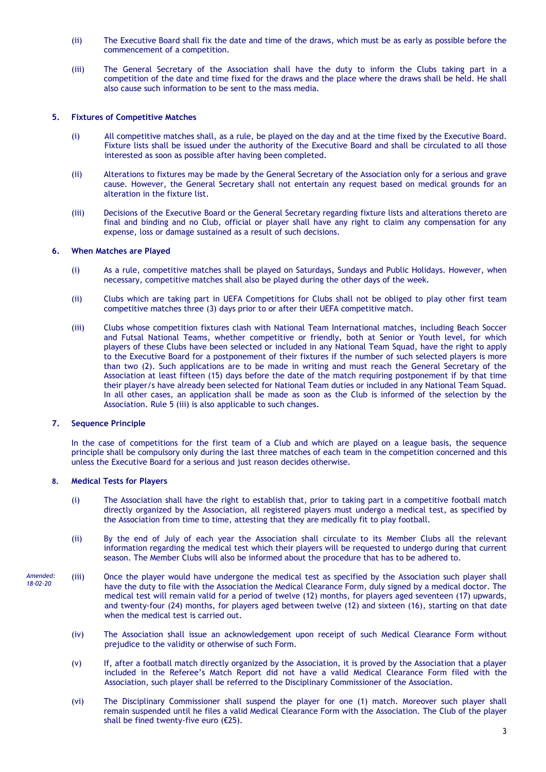- (ii) The Executive Board shall fix the date and time of the draws, which must be as early as possible before the commencement of a competition.
- (iii) The General Secretary of the Association shall have the duty to inform the Clubs taking part in a competition of the date and time fixed for the draws and the place where the draws shall be held. He shall also cause such information to be sent to the mass media.

# **5. Fixtures of Competitive Matches**

- (i) All competitive matches shall, as a rule, be played on the day and at the time fixed by the Executive Board. Fixture lists shall be issued under the authority of the Executive Board and shall be circulated to all those interested as soon as possible after having been completed.
- (ii) Alterations to fixtures may be made by the General Secretary of the Association only for a serious and grave cause. However, the General Secretary shall not entertain any request based on medical grounds for an alteration in the fixture list.
- (iii) Decisions of the Executive Board or the General Secretary regarding fixture lists and alterations thereto are final and binding and no Club, official or player shall have any right to claim any compensation for any expense, loss or damage sustained as a result of such decisions.

# **6. When Matches are Played**

- (i) As a rule, competitive matches shall be played on Saturdays, Sundays and Public Holidays. However, when necessary, competitive matches shall also be played during the other days of the week.
- (ii) Clubs which are taking part in UEFA Competitions for Clubs shall not be obliged to play other first team competitive matches three (3) days prior to or after their UEFA competitive match.
- (iii) Clubs whose competition fixtures clash with National Team International matches, including Beach Soccer and Futsal National Teams, whether competitive or friendly, both at Senior or Youth level, for which players of these Clubs have been selected or included in any National Team Squad, have the right to apply to the Executive Board for a postponement of their fixtures if the number of such selected players is more than two (2). Such applications are to be made in writing and must reach the General Secretary of the Association at least fifteen (15) days before the date of the match requiring postponement if by that time their player/s have already been selected for National Team duties or included in any National Team Squad. In all other cases, an application shall be made as soon as the Club is informed of the selection by the Association. Rule 5 (iii) is also applicable to such changes.

# **7. Sequence Principle**

In the case of competitions for the first team of a Club and which are played on a league basis, the sequence principle shall be compulsory only during the last three matches of each team in the competition concerned and this unless the Executive Board for a serious and just reason decides otherwise.

# **8. Medical Tests for Players**

- (i) The Association shall have the right to establish that, prior to taking part in a competitive football match directly organized by the Association, all registered players must undergo a medical test, as specified by the Association from time to time, attesting that they are medically fit to play football.
- (ii) By the end of July of each year the Association shall circulate to its Member Clubs all the relevant information regarding the medical test which their players will be requested to undergo during that current season. The Member Clubs will also be informed about the procedure that has to be adhered to.
- (iii) Once the player would have undergone the medical test as specified by the Association such player shall have the duty to file with the Association the Medical Clearance Form, duly signed by a medical doctor. The medical test will remain valid for a period of twelve (12) months, for players aged seventeen (17) upwards, and twenty-four (24) months, for players aged between twelve (12) and sixteen (16), starting on that date when the medical test is carried out. *Amended: 18-02-20*
	- (iv) The Association shall issue an acknowledgement upon receipt of such Medical Clearance Form without prejudice to the validity or otherwise of such Form.
	- (v) If, after a football match directly organized by the Association, it is proved by the Association that a player included in the Referee's Match Report did not have a valid Medical Clearance Form filed with the Association, such player shall be referred to the Disciplinary Commissioner of the Association.
	- (vi) The Disciplinary Commissioner shall suspend the player for one (1) match. Moreover such player shall remain suspended until he files a valid Medical Clearance Form with the Association. The Club of the player shall be fined twenty-five euro (€25).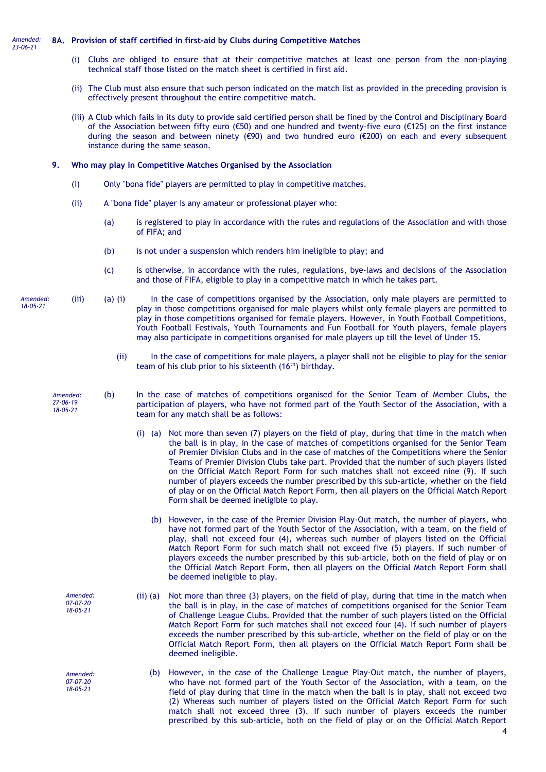#### **8A. Provision of staff certified in first-aid by Clubs during Competitive Matches** *Amended: 23-06-21*

- (i) Clubs are obliged to ensure that at their competitive matches at least one person from the non-playing technical staff those listed on the match sheet is certified in first aid.
- (ii) The Club must also ensure that such person indicated on the match list as provided in the preceding provision is effectively present throughout the entire competitive match.
- (iii) A Club which fails in its duty to provide said certified person shall be fined by the Control and Disciplinary Board of the Association between fifty euro (€50) and one hundred and twenty-five euro (€125) on the first instance during the season and between ninety ( $\epsilon$ 90) and two hundred euro ( $\epsilon$ 200) on each and every subsequent instance during the same season.

### **9. Who may play in Competitive Matches Organised by the Association**

- (i) Only "bona fide" players are permitted to play in competitive matches.
- (ii) A "bona fide" player is any amateur or professional player who:
	- (a) is registered to play in accordance with the rules and regulations of the Association and with those of FIFA; and
	- (b) is not under a suspension which renders him ineligible to play; and
	- (c) is otherwise, in accordance with the rules, regulations, bye-laws and decisions of the Association and those of FIFA, eligible to play in a competitive match in which he takes part.
- (iii) (a) (i) In the case of competitions organised by the Association, only male players are permitted to play in those competitions organised for male players whilst only female players are permitted to play in those competitions organised for female players. However, in Youth Football Competitions, Youth Football Festivals, Youth Tournaments and Fun Football for Youth players, female players may also participate in competitions organised for male players up till the level of Under 15. *Amended:* 
	- (ii) In the case of competitions for male players, a player shall not be eligible to play for the senior team of his club prior to his sixteenth (16<sup>th</sup>) birthday.
	- (b) In the case of matches of competitions organised for the Senior Team of Member Clubs, the participation of players, who have not formed part of the Youth Sector of the Association, with a team for any match shall be as follows:
		- (i) (a) Not more than seven (7) players on the field of play, during that time in the match when the ball is in play, in the case of matches of competitions organised for the Senior Team of Premier Division Clubs and in the case of matches of the Competitions where the Senior Teams of Premier Division Clubs take part. Provided that the number of such players listed on the Official Match Report Form for such matches shall not exceed nine (9). If such number of players exceeds the number prescribed by this sub-article, whether on the field of play or on the Official Match Report Form, then all players on the Official Match Report Form shall be deemed ineligible to play.
			- (b) However, in the case of the Premier Division Play-Out match, the number of players, who have not formed part of the Youth Sector of the Association, with a team, on the field of play, shall not exceed four (4), whereas such number of players listed on the Official Match Report Form for such match shall not exceed five (5) players. If such number of players exceeds the number prescribed by this sub-article, both on the field of play or on the Official Match Report Form, then all players on the Official Match Report Form shall be deemed ineligible to play.
		- (ii) (a) Not more than three (3) players, on the field of play, during that time in the match when the ball is in play, in the case of matches of competitions organised for the Senior Team of Challenge League Clubs. Provided that the number of such players listed on the Official Match Report Form for such matches shall not exceed four (4). If such number of players exceeds the number prescribed by this sub-article, whether on the field of play or on the Official Match Report Form, then all players on the Official Match Report Form shall be deemed ineligible.
			- (b) However, in the case of the Challenge League Play-Out match, the number of players, who have not formed part of the Youth Sector of the Association, with a team, on the field of play during that time in the match when the ball is in play, shall not exceed two (2) Whereas such number of players listed on the Official Match Report Form for such match shall not exceed three (3). If such number of players exceeds the number prescribed by this sub-article, both on the field of play or on the Official Match Report

*18-05-21*

*Amended:* 

*27-06-19 18-05-21*

> *Amended: 07-07-20 18-05-21*

*Amended: 07-07-20 18-05-21*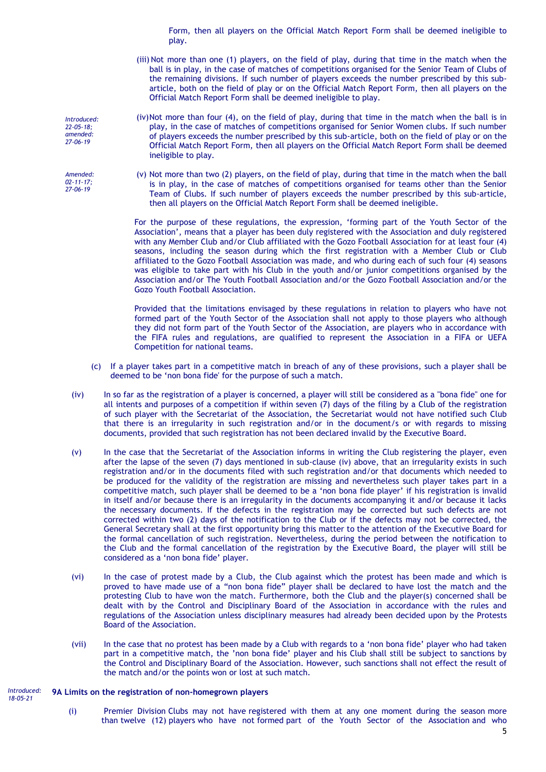Form, then all players on the Official Match Report Form shall be deemed ineligible to play.

- (iii) Not more than one (1) players, on the field of play, during that time in the match when the ball is in play, in the case of matches of competitions organised for the Senior Team of Clubs of the remaining divisions. If such number of players exceeds the number prescribed by this subarticle, both on the field of play or on the Official Match Report Form, then all players on the Official Match Report Form shall be deemed ineligible to play.
- (iv)Not more than four (4), on the field of play, during that time in the match when the ball is in play, in the case of matches of competitions organised for Senior Women clubs. If such number of players exceeds the number prescribed by this sub-article, both on the field of play or on the Official Match Report Form, then all players on the Official Match Report Form shall be deemed ineligible to play.
- (v) Not more than two (2) players, on the field of play, during that time in the match when the ball is in play, in the case of matches of competitions organised for teams other than the Senior Team of Clubs. If such number of players exceeds the number prescribed by this sub-article, then all players on the Official Match Report Form shall be deemed ineligible.

For the purpose of these regulations, the expression, 'forming part of the Youth Sector of the Association', means that a player has been duly registered with the Association and duly registered with any Member Club and/or Club affiliated with the Gozo Football Association for at least four (4) seasons, including the season during which the first registration with a Member Club or Club affiliated to the Gozo Football Association was made, and who during each of such four (4) seasons was eligible to take part with his Club in the youth and/or junior competitions organised by the Association and/or The Youth Football Association and/or the Gozo Football Association and/or the Gozo Youth Football Association.

Provided that the limitations envisaged by these regulations in relation to players who have not formed part of the Youth Sector of the Association shall not apply to those players who although they did not form part of the Youth Sector of the Association, are players who in accordance with the FIFA rules and regulations, are qualified to represent the Association in a FIFA or UEFA Competition for national teams.

- (c) If a player takes part in a competitive match in breach of any of these provisions, such a player shall be deemed to be 'non bona fide' for the purpose of such a match.
- (iv) In so far as the registration of a player is concerned, a player will still be considered as a "bona fide" one for all intents and purposes of a competition if within seven (7) days of the filing by a Club of the registration of such player with the Secretariat of the Association, the Secretariat would not have notified such Club that there is an irregularity in such registration and/or in the document/s or with regards to missing documents, provided that such registration has not been declared invalid by the Executive Board.
- (v) In the case that the Secretariat of the Association informs in writing the Club registering the player, even after the lapse of the seven (7) days mentioned in sub-clause (iv) above, that an irregularity exists in such registration and/or in the documents filed with such registration and/or that documents which needed to be produced for the validity of the registration are missing and nevertheless such player takes part in a competitive match, such player shall be deemed to be a 'non bona fide player' if his registration is invalid in itself and/or because there is an irregularity in the documents accompanying it and/or because it lacks the necessary documents. If the defects in the registration may be corrected but such defects are not corrected within two (2) days of the notification to the Club or if the defects may not be corrected, the General Secretary shall at the first opportunity bring this matter to the attention of the Executive Board for the formal cancellation of such registration. Nevertheless, during the period between the notification to the Club and the formal cancellation of the registration by the Executive Board, the player will still be considered as a 'non bona fide' player.
- (vi) In the case of protest made by a Club, the Club against which the protest has been made and which is proved to have made use of a "non bona fide" player shall be declared to have lost the match and the protesting Club to have won the match. Furthermore, both the Club and the player(s) concerned shall be dealt with by the Control and Disciplinary Board of the Association in accordance with the rules and regulations of the Association unless disciplinary measures had already been decided upon by the Protests Board of the Association.
- (vii) In the case that no protest has been made by a Club with regards to a 'non bona fide' player who had taken part in a competitive match, the 'non bona fide' player and his Club shall still be subject to sanctions by the Control and Disciplinary Board of the Association. However, such sanctions shall not effect the result of the match and/or the points won or lost at such match.

#### **9A Limits on the registration of non-homegrown players** *Introduced: 18-05-21*

5 (i) Premier Division Clubs may not have registered with them at any one moment during the season more than twelve (12) players who have not formed part of the Youth Sector of the Association and who

*Introduced: 22-05-18; amended: 27-06-19*

*Amended: 02-11-17; 27-06-19*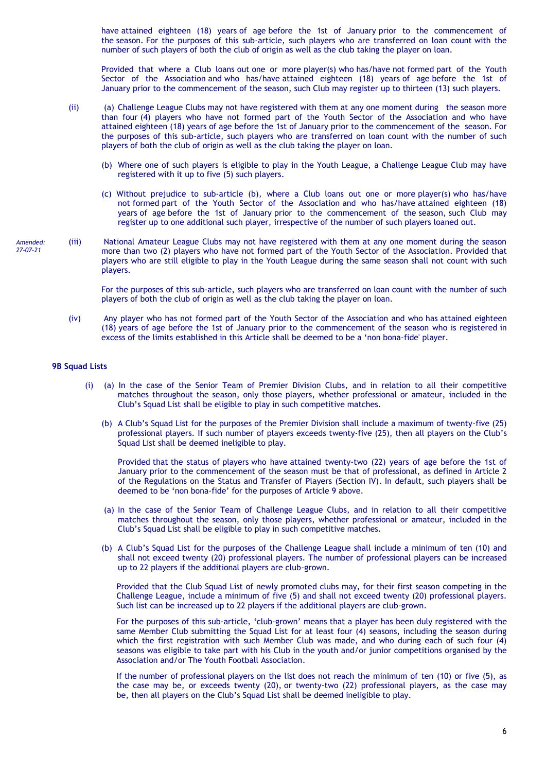have attained eighteen (18) years of age before the 1st of January prior to the commencement of the season. For the purposes of this sub-article, such players who are transferred on loan count with the number of such players of both the club of origin as well as the club taking the player on loan.

Provided that where a Club loans out one or more player(s) who has/have not formed part of the Youth Sector of the Association and who has/have attained eighteen (18) years of age before the 1st of January prior to the commencement of the season, such Club may register up to thirteen (13) such players.

- (ii) (a) Challenge League Clubs may not have registered with them at any one moment during the season more than four (4) players who have not formed part of the Youth Sector of the Association and who have attained eighteen (18) years of age before the 1st of January prior to the commencement of the season. For the purposes of this sub-article, such players who are transferred on loan count with the number of such players of both the club of origin as well as the club taking the player on loan.
	- (b) Where one of such players is eligible to play in the Youth League, a Challenge League Club may have registered with it up to five (5) such players.
	- (c) Without prejudice to sub-article (b), where a Club loans out one or more player(s) who has/have not formed part of the Youth Sector of the Association and who has/have attained eighteen (18) years of age before the 1st of January prior to the commencement of the season, such Club may register up to one additional such player, irrespective of the number of such players loaned out.
- (iii) National Amateur League Clubs may not have registered with them at any one moment during the season more than two (2) players who have not formed part of the Youth Sector of the Association. Provided that players who are still eligible to play in the Youth League during the same season shall not count with such players. *Amended: 27-07-21*

For the purposes of this sub-article, such players who are transferred on loan count with the number of such players of both the club of origin as well as the club taking the player on loan.

(iv) Any player who has not formed part of the Youth Sector of the Association and who has attained eighteen (18) years of age before the 1st of January prior to the commencement of the season who is registered in excess of the limits established in this Article shall be deemed to be a 'non bona-fide' player.

# **9B Squad Lists**

- (i) (a) In the case of the Senior Team of Premier Division Clubs, and in relation to all their competitive matches throughout the season, only those players, whether professional or amateur, included in the Club's Squad List shall be eligible to play in such competitive matches.
	- (b) A Club's Squad List for the purposes of the Premier Division shall include a maximum of twenty-five (25) professional players. If such number of players exceeds twenty-five (25), then all players on the Club's Squad List shall be deemed ineligible to play.

Provided that the status of players who have attained twenty-two (22) years of age before the 1st of January prior to the commencement of the season must be that of professional, as defined in Article 2 of the Regulations on the Status and Transfer of Players (Section IV). In default, such players shall be deemed to be 'non bona-fide' for the purposes of Article 9 above.

- (a) In the case of the Senior Team of Challenge League Clubs, and in relation to all their competitive matches throughout the season, only those players, whether professional or amateur, included in the Club's Squad List shall be eligible to play in such competitive matches.
- (b) A Club's Squad List for the purposes of the Challenge League shall include a minimum of ten (10) and shall not exceed twenty (20) professional players. The number of professional players can be increased up to 22 players if the additional players are club-grown.

Provided that the Club Squad List of newly promoted clubs may, for their first season competing in the Challenge League, include a minimum of five (5) and shall not exceed twenty (20) professional players. Such list can be increased up to 22 players if the additional players are club-grown.

For the purposes of this sub-article, 'club-grown' means that a player has been duly registered with the same Member Club submitting the Squad List for at least four (4) seasons, including the season during which the first registration with such Member Club was made, and who during each of such four (4) seasons was eligible to take part with his Club in the youth and/or junior competitions organised by the Association and/or The Youth Football Association.

If the number of professional players on the list does not reach the minimum of ten (10) or five (5), as the case may be, or exceeds twenty (20), or twenty-two (22) professional players, as the case may be, then all players on the Club's Squad List shall be deemed ineligible to play.

6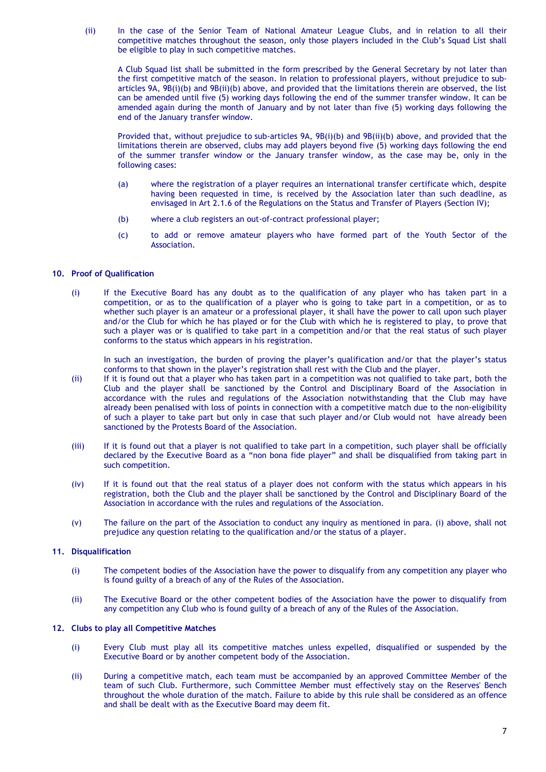(ii) In the case of the Senior Team of National Amateur League Clubs, and in relation to all their competitive matches throughout the season, only those players included in the Club's Squad List shall be eligible to play in such competitive matches.

A Club Squad list shall be submitted in the form prescribed by the General Secretary by not later than the first competitive match of the season. In relation to professional players, without prejudice to subarticles 9A, 9B(i)(b) and 9B(ii)(b) above, and provided that the limitations therein are observed, the list can be amended until five (5) working days following the end of the summer transfer window. It can be amended again during the month of January and by not later than five (5) working days following the end of the January transfer window.

Provided that, without prejudice to sub-articles 9A, 9B(i)(b) and 9B(ii)(b) above, and provided that the limitations therein are observed, clubs may add players beyond five (5) working days following the end of the summer transfer window or the January transfer window, as the case may be, only in the following cases:

- (a) where the registration of a player requires an international transfer certificate which, despite having been requested in time, is received by the Association later than such deadline, as envisaged in Art 2.1.6 of the Regulations on the Status and Transfer of Players (Section IV);
- (b) where a club registers an out-of-contract professional player;
- (c) to add or remove amateur players who have formed part of the Youth Sector of the Association.

### **10. Proof of Qualification**

(i) If the Executive Board has any doubt as to the qualification of any player who has taken part in a competition, or as to the qualification of a player who is going to take part in a competition, or as to whether such player is an amateur or a professional player, it shall have the power to call upon such player and/or the Club for which he has played or for the Club with which he is registered to play, to prove that such a player was or is qualified to take part in a competition and/or that the real status of such player conforms to the status which appears in his registration.

In such an investigation, the burden of proving the player's qualification and/or that the player's status conforms to that shown in the player's registration shall rest with the Club and the player.

- (ii) If it is found out that a player who has taken part in a competition was not qualified to take part, both the Club and the player shall be sanctioned by the Control and Disciplinary Board of the Association in accordance with the rules and regulations of the Association notwithstanding that the Club may have already been penalised with loss of points in connection with a competitive match due to the non-eligibility of such a player to take part but only in case that such player and/or Club would not have already been sanctioned by the Protests Board of the Association.
- (iii) If it is found out that a player is not qualified to take part in a competition, such player shall be officially declared by the Executive Board as a "non bona fide player" and shall be disqualified from taking part in such competition.
- (iv) If it is found out that the real status of a player does not conform with the status which appears in his registration, both the Club and the player shall be sanctioned by the Control and Disciplinary Board of the Association in accordance with the rules and regulations of the Association.
- (v) The failure on the part of the Association to conduct any inquiry as mentioned in para. (i) above, shall not prejudice any question relating to the qualification and/or the status of a player.

### **11. Disqualification**

- (i) The competent bodies of the Association have the power to disqualify from any competition any player who is found guilty of a breach of any of the Rules of the Association.
- (ii) The Executive Board or the other competent bodies of the Association have the power to disqualify from any competition any Club who is found guilty of a breach of any of the Rules of the Association.

# **12. Clubs to play all Competitive Matches**

- (i) Every Club must play all its competitive matches unless expelled, disqualified or suspended by the Executive Board or by another competent body of the Association.
- (ii) During a competitive match, each team must be accompanied by an approved Committee Member of the team of such Club. Furthermore, such Committee Member must effectively stay on the Reserves' Bench throughout the whole duration of the match. Failure to abide by this rule shall be considered as an offence and shall be dealt with as the Executive Board may deem fit.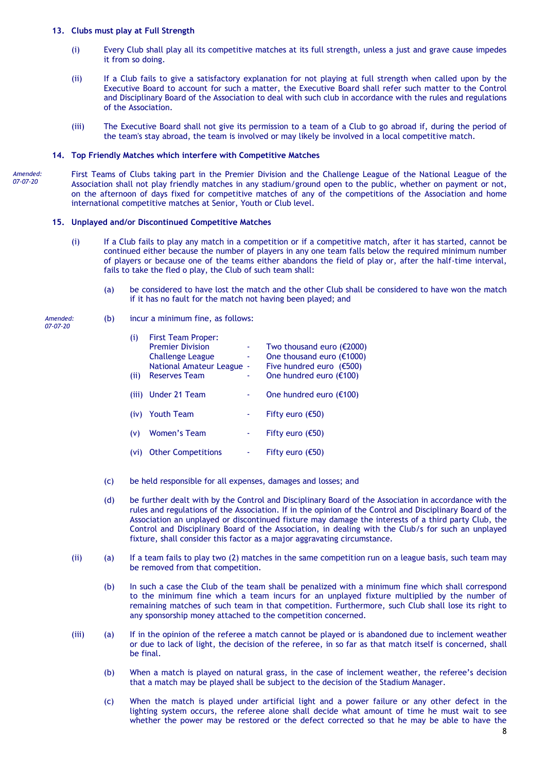# **13. Clubs must play at Full Strength**

- (i) Every Club shall play all its competitive matches at its full strength, unless a just and grave cause impedes it from so doing.
- (ii) If a Club fails to give a satisfactory explanation for not playing at full strength when called upon by the Executive Board to account for such a matter, the Executive Board shall refer such matter to the Control and Disciplinary Board of the Association to deal with such club in accordance with the rules and regulations of the Association.
- (iii) The Executive Board shall not give its permission to a team of a Club to go abroad if, during the period of the team's stay abroad, the team is involved or may likely be involved in a local competitive match.

### **14. Top Friendly Matches which interfere with Competitive Matches**

*Amended: 07-07-20*

First Teams of Clubs taking part in the Premier Division and the Challenge League of the National League of the Association shall not play friendly matches in any stadium/ground open to the public, whether on payment or not, on the afternoon of days fixed for competitive matches of any of the competitions of the Association and home international competitive matches at Senior, Youth or Club level.

### **15. Unplayed and/or Discontinued Competitive Matches**

- (i) If a Club fails to play any match in a competition or if a competitive match, after it has started, cannot be continued either because the number of players in any one team falls below the required minimum number of players or because one of the teams either abandons the field of play or, after the half-time interval, fails to take the fled o play, the Club of such team shall:
	- (a) be considered to have lost the match and the other Club shall be considered to have won the match if it has no fault for the match not having been played; and

*Amended: 07-07-20*

- (b) incur a minimum fine, as follows:
	- (i) First Team Proper: Premier Division - Two thousand euro (€2000) Challenge League  $\cdot$  One thousand euro (€1000)<br>National Amateur League - Five hundred euro (€500) National Amateur League -<br>Five hundred extension the hundred euro (ii) Reserves Team One hundred euro  $(E100)$ (iii) Under 21 Team  $\qquad \qquad$  - One hundred euro ( $\epsilon$ 100) (iv) Youth Team  $-$  Fifty euro ( $\epsilon$ 50) (v) Women's Team  $-$  Fifty euro ( $\epsilon$ 50) (vi) Other Competitions  $-$  Fifty euro ( $\epsilon$ 50)
- (c) be held responsible for all expenses, damages and losses; and
- (d) be further dealt with by the Control and Disciplinary Board of the Association in accordance with the rules and regulations of the Association. If in the opinion of the Control and Disciplinary Board of the Association an unplayed or discontinued fixture may damage the interests of a third party Club, the Control and Disciplinary Board of the Association, in dealing with the Club/s for such an unplayed fixture, shall consider this factor as a major aggravating circumstance.
- (ii) (a) If a team fails to play two (2) matches in the same competition run on a league basis, such team may be removed from that competition.
	- (b) In such a case the Club of the team shall be penalized with a minimum fine which shall correspond to the minimum fine which a team incurs for an unplayed fixture multiplied by the number of remaining matches of such team in that competition. Furthermore, such Club shall lose its right to any sponsorship money attached to the competition concerned.
- (iii) (a) If in the opinion of the referee a match cannot be played or is abandoned due to inclement weather or due to lack of light, the decision of the referee, in so far as that match itself is concerned, shall be final.
	- (b) When a match is played on natural grass, in the case of inclement weather, the referee's decision that a match may be played shall be subject to the decision of the Stadium Manager.
	- (c) When the match is played under artificial light and a power failure or any other defect in the lighting system occurs, the referee alone shall decide what amount of time he must wait to see whether the power may be restored or the defect corrected so that he may be able to have the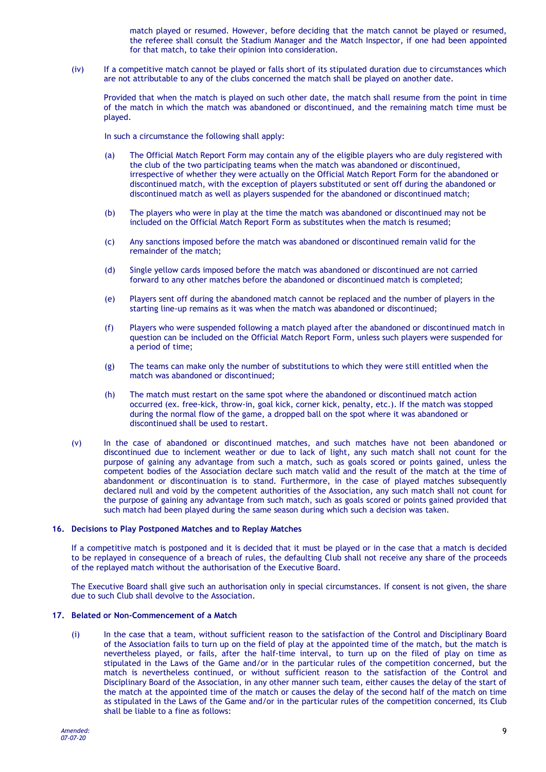match played or resumed. However, before deciding that the match cannot be played or resumed, the referee shall consult the Stadium Manager and the Match Inspector, if one had been appointed for that match, to take their opinion into consideration.

(iv) If a competitive match cannot be played or falls short of its stipulated duration due to circumstances which are not attributable to any of the clubs concerned the match shall be played on another date.

Provided that when the match is played on such other date, the match shall resume from the point in time of the match in which the match was abandoned or discontinued, and the remaining match time must be played.

In such a circumstance the following shall apply:

- (a) The Official Match Report Form may contain any of the eligible players who are duly registered with the club of the two participating teams when the match was abandoned or discontinued, irrespective of whether they were actually on the Official Match Report Form for the abandoned or discontinued match, with the exception of players substituted or sent off during the abandoned or discontinued match as well as players suspended for the abandoned or discontinued match;
- (b) The players who were in play at the time the match was abandoned or discontinued may not be included on the Official Match Report Form as substitutes when the match is resumed;
- (c) Any sanctions imposed before the match was abandoned or discontinued remain valid for the remainder of the match;
- (d) Single yellow cards imposed before the match was abandoned or discontinued are not carried forward to any other matches before the abandoned or discontinued match is completed;
- (e) Players sent off during the abandoned match cannot be replaced and the number of players in the starting line-up remains as it was when the match was abandoned or discontinued;
- (f) Players who were suspended following a match played after the abandoned or discontinued match in question can be included on the Official Match Report Form, unless such players were suspended for a period of time;
- (g) The teams can make only the number of substitutions to which they were still entitled when the match was abandoned or discontinued;
- (h) The match must restart on the same spot where the abandoned or discontinued match action occurred (ex. free-kick, throw-in, goal kick, corner kick, penalty, etc.). If the match was stopped during the normal flow of the game, a dropped ball on the spot where it was abandoned or discontinued shall be used to restart.
- (v) In the case of abandoned or discontinued matches, and such matches have not been abandoned or discontinued due to inclement weather or due to lack of light, any such match shall not count for the purpose of gaining any advantage from such a match, such as goals scored or points gained, unless the competent bodies of the Association declare such match valid and the result of the match at the time of abandonment or discontinuation is to stand. Furthermore, in the case of played matches subsequently declared null and void by the competent authorities of the Association, any such match shall not count for the purpose of gaining any advantage from such match, such as goals scored or points gained provided that such match had been played during the same season during which such a decision was taken.

# **16. Decisions to Play Postponed Matches and to Replay Matches**

If a competitive match is postponed and it is decided that it must be played or in the case that a match is decided to be replayed in consequence of a breach of rules, the defaulting Club shall not receive any share of the proceeds of the replayed match without the authorisation of the Executive Board.

The Executive Board shall give such an authorisation only in special circumstances. If consent is not given, the share due to such Club shall devolve to the Association.

### **17. Belated or Non-Commencement of a Match**

(i) In the case that a team, without sufficient reason to the satisfaction of the Control and Disciplinary Board of the Association fails to turn up on the field of play at the appointed time of the match, but the match is nevertheless played, or fails, after the half-time interval, to turn up on the filed of play on time as stipulated in the Laws of the Game and/or in the particular rules of the competition concerned, but the match is nevertheless continued, or without sufficient reason to the satisfaction of the Control and Disciplinary Board of the Association, in any other manner such team, either causes the delay of the start of the match at the appointed time of the match or causes the delay of the second half of the match on time as stipulated in the Laws of the Game and/or in the particular rules of the competition concerned, its Club shall be liable to a fine as follows: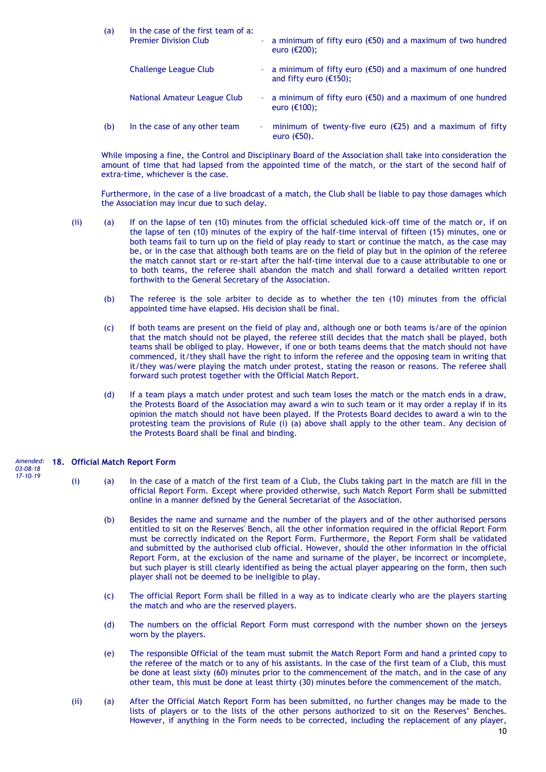| (a) | In the case of the first team of a:<br><b>Premier Division Club</b> |        | - a minimum of fifty euro ( $\epsilon$ 50) and a maximum of two hundred<br>euro $(\epsilon 200)$ ;   |  |  |
|-----|---------------------------------------------------------------------|--------|------------------------------------------------------------------------------------------------------|--|--|
|     | Challenge League Club                                               |        | - a minimum of fifty euro ( $\epsilon$ 50) and a maximum of one hundred<br>and fifty euro $(£150)$ ; |  |  |
|     | National Amateur League Club                                        |        | - a minimum of fifty euro ( $\epsilon$ 50) and a maximum of one hundred<br>euro $(\epsilon$ 100);    |  |  |
| (b) | In the case of any other team                                       | $\sim$ | minimum of twenty-five euro ( $\epsilon$ 25) and a maximum of fifty<br>euro $(650)$ .                |  |  |

While imposing a fine, the Control and Disciplinary Board of the Association shall take into consideration the amount of time that had lapsed from the appointed time of the match, or the start of the second half of extra-time, whichever is the case.

Furthermore, in the case of a live broadcast of a match, the Club shall be liable to pay those damages which the Association may incur due to such delay.

- (ii) (a) If on the lapse of ten (10) minutes from the official scheduled kick-off time of the match or, if on the lapse of ten (10) minutes of the expiry of the half-time interval of fifteen (15) minutes, one or both teams fail to turn up on the field of play ready to start or continue the match, as the case may be, or in the case that although both teams are on the field of play but in the opinion of the referee the match cannot start or re-start after the half-time interval due to a cause attributable to one or to both teams, the referee shall abandon the match and shall forward a detailed written report forthwith to the General Secretary of the Association.
	- (b) The referee is the sole arbiter to decide as to whether the ten (10) minutes from the official appointed time have elapsed. His decision shall be final.
	- (c) If both teams are present on the field of play and, although one or both teams is/are of the opinion that the match should not be played, the referee still decides that the match shall be played, both teams shall be obliged to play. However, if one or both teams deems that the match should not have commenced, it/they shall have the right to inform the referee and the opposing team in writing that it/they was/were playing the match under protest, stating the reason or reasons. The referee shall forward such protest together with the Official Match Report.
	- (d) If a team plays a match under protest and such team loses the match or the match ends in a draw, the Protests Board of the Association may award a win to such team or it may order a replay if in its opinion the match should not have been played. If the Protests Board decides to award a win to the protesting team the provisions of Rule (i) (a) above shall apply to the other team. Any decision of the Protests Board shall be final and binding.

#### **18. Official Match Report Form** (i) (a) In the case of a match of the first team of a Club, the Clubs taking part in the match are fill in the official Report Form. Except where provided otherwise, such Match Report Form shall be submitted online in a manner defined by the General Secretariat of the Association. *Amended: 03-08-18 17-10-19*

- (b) Besides the name and surname and the number of the players and of the other authorised persons entitled to sit on the Reserves' Bench, all the other information required in the official Report Form must be correctly indicated on the Report Form. Furthermore, the Report Form shall be validated and submitted by the authorised club official. However, should the other information in the official Report Form, at the exclusion of the name and surname of the player, be incorrect or incomplete, but such player is still clearly identified as being the actual player appearing on the form, then such player shall not be deemed to be ineligible to play.
- (c) The official Report Form shall be filled in a way as to indicate clearly who are the players starting the match and who are the reserved players.
- (d) The numbers on the official Report Form must correspond with the number shown on the jerseys worn by the players.
- (e) The responsible Official of the team must submit the Match Report Form and hand a printed copy to the referee of the match or to any of his assistants. In the case of the first team of a Club, this must be done at least sixty (60) minutes prior to the commencement of the match, and in the case of any other team, this must be done at least thirty (30) minutes before the commencement of the match.
- (ii) (a) After the Official Match Report Form has been submitted, no further changes may be made to the lists of players or to the lists of the other persons authorized to sit on the Reserves' Benches. However, if anything in the Form needs to be corrected, including the replacement of any player,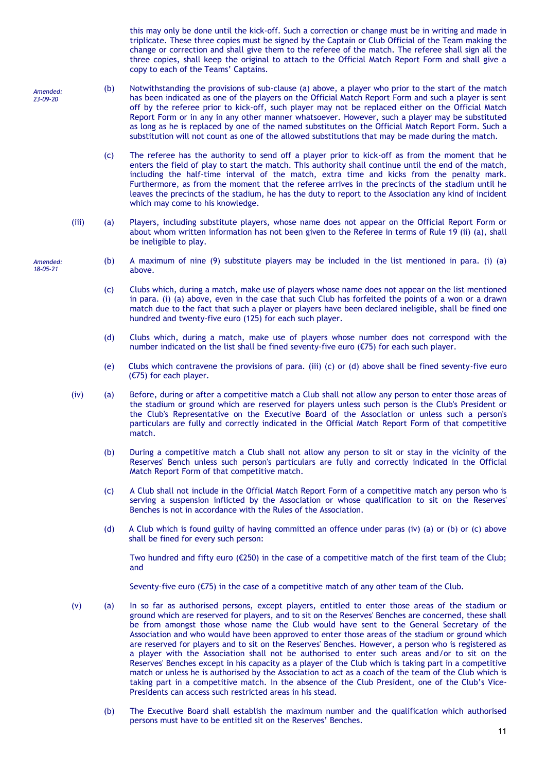this may only be done until the kick-off. Such a correction or change must be in writing and made in triplicate. These three copies must be signed by the Captain or Club Official of the Team making the change or correction and shall give them to the referee of the match. The referee shall sign all the three copies, shall keep the original to attach to the Official Match Report Form and shall give a copy to each of the Teams' Captains.

- (b) Notwithstanding the provisions of sub-clause (a) above, a player who prior to the start of the match has been indicated as one of the players on the Official Match Report Form and such a player is sent off by the referee prior to kick-off, such player may not be replaced either on the Official Match Report Form or in any in any other manner whatsoever. However, such a player may be substituted as long as he is replaced by one of the named substitutes on the Official Match Report Form. Such a substitution will not count as one of the allowed substitutions that may be made during the match. *Amended: 23-09-20*
	- (c) The referee has the authority to send off a player prior to kick-off as from the moment that he enters the field of play to start the match. This authority shall continue until the end of the match, including the half-time interval of the match, extra time and kicks from the penalty mark. Furthermore, as from the moment that the referee arrives in the precincts of the stadium until he leaves the precincts of the stadium, he has the duty to report to the Association any kind of incident which may come to his knowledge.
	- (iii) (a) Players, including substitute players, whose name does not appear on the Official Report Form or about whom written information has not been given to the Referee in terms of Rule 19 (ii) (a), shall be ineligible to play.
		- (b) A maximum of nine (9) substitute players may be included in the list mentioned in para. (i) (a) above.
			- (c) Clubs which, during a match, make use of players whose name does not appear on the list mentioned in para. (i) (a) above, even in the case that such Club has forfeited the points of a won or a drawn match due to the fact that such a player or players have been declared ineligible, shall be fined one hundred and twenty-five euro (125) for each such player.
			- (d) Clubs which, during a match, make use of players whose number does not correspond with the number indicated on the list shall be fined seventy-five euro (€75) for each such player.
			- (e) Clubs which contravene the provisions of para. (iii) (c) or (d) above shall be fined seventy-five euro (€75) for each player.
	- (iv) (a) Before, during or after a competitive match a Club shall not allow any person to enter those areas of the stadium or ground which are reserved for players unless such person is the Club's President or the Club's Representative on the Executive Board of the Association or unless such a person's particulars are fully and correctly indicated in the Official Match Report Form of that competitive match.
		- (b) During a competitive match a Club shall not allow any person to sit or stay in the vicinity of the Reserves' Bench unless such person's particulars are fully and correctly indicated in the Official Match Report Form of that competitive match.
		- (c) A Club shall not include in the Official Match Report Form of a competitive match any person who is serving a suspension inflicted by the Association or whose qualification to sit on the Reserves' Benches is not in accordance with the Rules of the Association.
		- (d) A Club which is found guilty of having committed an offence under paras (iv) (a) or (b) or (c) above shall be fined for every such person:

Two hundred and fifty euro (€250) in the case of a competitive match of the first team of the Club; and

Seventy-five euro (€75) in the case of a competitive match of any other team of the Club.

- (v) (a) In so far as authorised persons, except players, entitled to enter those areas of the stadium or ground which are reserved for players, and to sit on the Reserves' Benches are concerned, these shall be from amongst those whose name the Club would have sent to the General Secretary of the Association and who would have been approved to enter those areas of the stadium or ground which are reserved for players and to sit on the Reserves' Benches. However, a person who is registered as a player with the Association shall not be authorised to enter such areas and/or to sit on the Reserves' Benches except in his capacity as a player of the Club which is taking part in a competitive match or unless he is authorised by the Association to act as a coach of the team of the Club which is taking part in a competitive match. In the absence of the Club President, one of the Club's Vice-Presidents can access such restricted areas in his stead.
	- (b) The Executive Board shall establish the maximum number and the qualification which authorised persons must have to be entitled sit on the Reserves' Benches.

*Amended: 18-05-21*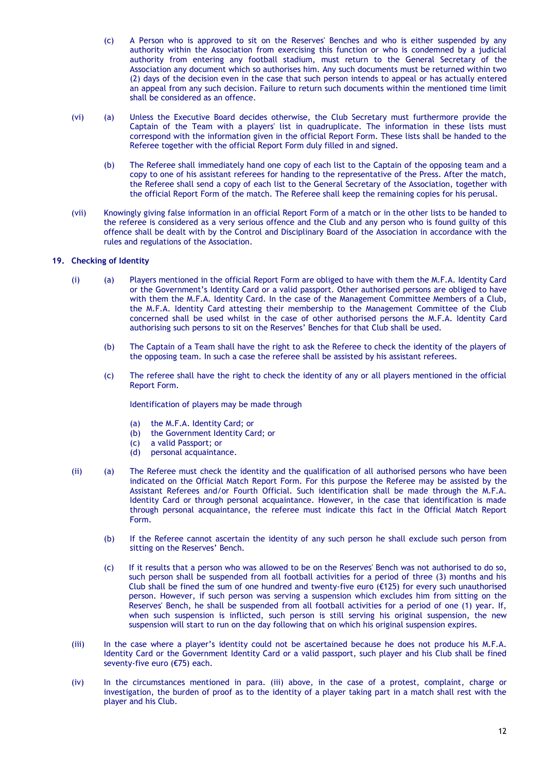- (c) A Person who is approved to sit on the Reserves' Benches and who is either suspended by any authority within the Association from exercising this function or who is condemned by a judicial authority from entering any football stadium, must return to the General Secretary of the Association any document which so authorises him. Any such documents must be returned within two (2) days of the decision even in the case that such person intends to appeal or has actually entered an appeal from any such decision. Failure to return such documents within the mentioned time limit shall be considered as an offence.
- (vi) (a) Unless the Executive Board decides otherwise, the Club Secretary must furthermore provide the Captain of the Team with a players' list in quadruplicate. The information in these lists must correspond with the information given in the official Report Form. These lists shall be handed to the Referee together with the official Report Form duly filled in and signed.
	- (b) The Referee shall immediately hand one copy of each list to the Captain of the opposing team and a copy to one of his assistant referees for handing to the representative of the Press. After the match, the Referee shall send a copy of each list to the General Secretary of the Association, together with the official Report Form of the match. The Referee shall keep the remaining copies for his perusal.
- (vii) Knowingly giving false information in an official Report Form of a match or in the other lists to be handed to the referee is considered as a very serious offence and the Club and any person who is found guilty of this offence shall be dealt with by the Control and Disciplinary Board of the Association in accordance with the rules and regulations of the Association.

# **19. Checking of Identity**

- (i) (a) Players mentioned in the official Report Form are obliged to have with them the M.F.A. Identity Card or the Government's Identity Card or a valid passport. Other authorised persons are obliged to have with them the M.F.A. Identity Card. In the case of the Management Committee Members of a Club, the M.F.A. Identity Card attesting their membership to the Management Committee of the Club concerned shall be used whilst in the case of other authorised persons the M.F.A. Identity Card authorising such persons to sit on the Reserves' Benches for that Club shall be used.
	- (b) The Captain of a Team shall have the right to ask the Referee to check the identity of the players of the opposing team. In such a case the referee shall be assisted by his assistant referees.
	- (c) The referee shall have the right to check the identity of any or all players mentioned in the official Report Form.

Identification of players may be made through

- (a) the M.F.A. Identity Card; or<br>(b) the Government Identity Ca
- the Government Identity Card; or
- (c) a valid Passport; or
- (d) personal acquaintance.
- (ii) (a) The Referee must check the identity and the qualification of all authorised persons who have been indicated on the Official Match Report Form. For this purpose the Referee may be assisted by the Assistant Referees and/or Fourth Official. Such identification shall be made through the M.F.A. Identity Card or through personal acquaintance. However, in the case that identification is made through personal acquaintance, the referee must indicate this fact in the Official Match Report Form.
	- (b) If the Referee cannot ascertain the identity of any such person he shall exclude such person from sitting on the Reserves' Bench.
	- (c) If it results that a person who was allowed to be on the Reserves' Bench was not authorised to do so, such person shall be suspended from all football activities for a period of three (3) months and his Club shall be fined the sum of one hundred and twenty-five euro ( $E125$ ) for every such unauthorised person. However, if such person was serving a suspension which excludes him from sitting on the Reserves' Bench, he shall be suspended from all football activities for a period of one (1) year. If, when such suspension is inflicted, such person is still serving his original suspension, the new suspension will start to run on the day following that on which his original suspension expires.
- (iii) In the case where a player's identity could not be ascertained because he does not produce his M.F.A. Identity Card or the Government Identity Card or a valid passport, such player and his Club shall be fined seventy-five euro (€75) each.
- (iv) In the circumstances mentioned in para. (iii) above, in the case of a protest, complaint, charge or investigation, the burden of proof as to the identity of a player taking part in a match shall rest with the player and his Club.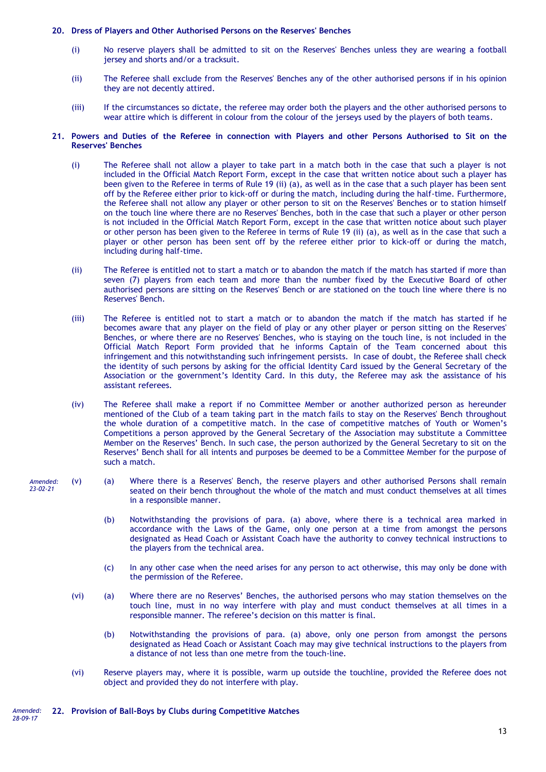### **20. Dress of Players and Other Authorised Persons on the Reserves' Benches**

- (i) No reserve players shall be admitted to sit on the Reserves' Benches unless they are wearing a football jersey and shorts and/or a tracksuit.
- (ii) The Referee shall exclude from the Reserves' Benches any of the other authorised persons if in his opinion they are not decently attired.
- (iii) If the circumstances so dictate, the referee may order both the players and the other authorised persons to wear attire which is different in colour from the colour of the jerseys used by the players of both teams.

### **21. Powers and Duties of the Referee in connection with Players and other Persons Authorised to Sit on the Reserves' Benches**

- (i) The Referee shall not allow a player to take part in a match both in the case that such a player is not included in the Official Match Report Form, except in the case that written notice about such a player has been given to the Referee in terms of Rule 19 (ii) (a), as well as in the case that a such player has been sent off by the Referee either prior to kick-off or during the match, including during the half-time. Furthermore, the Referee shall not allow any player or other person to sit on the Reserves' Benches or to station himself on the touch line where there are no Reserves' Benches, both in the case that such a player or other person is not included in the Official Match Report Form, except in the case that written notice about such player or other person has been given to the Referee in terms of Rule 19 (ii) (a), as well as in the case that such a player or other person has been sent off by the referee either prior to kick-off or during the match, including during half-time.
- (ii) The Referee is entitled not to start a match or to abandon the match if the match has started if more than seven (7) players from each team and more than the number fixed by the Executive Board of other authorised persons are sitting on the Reserves' Bench or are stationed on the touch line where there is no Reserves' Bench.
- (iii) The Referee is entitled not to start a match or to abandon the match if the match has started if he becomes aware that any player on the field of play or any other player or person sitting on the Reserves' Benches, or where there are no Reserves' Benches, who is staying on the touch line, is not included in the Official Match Report Form provided that he informs Captain of the Team concerned about this infringement and this notwithstanding such infringement persists. In case of doubt, the Referee shall check the identity of such persons by asking for the official Identity Card issued by the General Secretary of the Association or the government's Identity Card. In this duty, the Referee may ask the assistance of his assistant referees.
- (iv) The Referee shall make a report if no Committee Member or another authorized person as hereunder mentioned of the Club of a team taking part in the match fails to stay on the Reserves' Bench throughout the whole duration of a competitive match. In the case of competitive matches of Youth or Women's Competitions a person approved by the General Secretary of the Association may substitute a Committee Member on the Reserves' Bench. In such case, the person authorized by the General Secretary to sit on the Reserves' Bench shall for all intents and purposes be deemed to be a Committee Member for the purpose of such a match.

#### (v) (a) Where there is a Reserves' Bench, the reserve players and other authorised Persons shall remain seated on their bench throughout the whole of the match and must conduct themselves at all times in a responsible manner. *Amended: 23-02-21*

- (b) Notwithstanding the provisions of para. (a) above, where there is a technical area marked in accordance with the Laws of the Game, only one person at a time from amongst the persons designated as Head Coach or Assistant Coach have the authority to convey technical instructions to the players from the technical area.
- (c) In any other case when the need arises for any person to act otherwise, this may only be done with the permission of the Referee.
- (vi) (a) Where there are no Reserves' Benches, the authorised persons who may station themselves on the touch line, must in no way interfere with play and must conduct themselves at all times in a responsible manner. The referee's decision on this matter is final.
	- (b) Notwithstanding the provisions of para. (a) above, only one person from amongst the persons designated as Head Coach or Assistant Coach may may give technical instructions to the players from a distance of not less than one metre from the touch-line.
- (vi) Reserve players may, where it is possible, warm up outside the touchline, provided the Referee does not object and provided they do not interfere with play.

#### *Amended:* **22. Provision of Ball-Boys by Clubs during Competitive Matches** *28-09-17*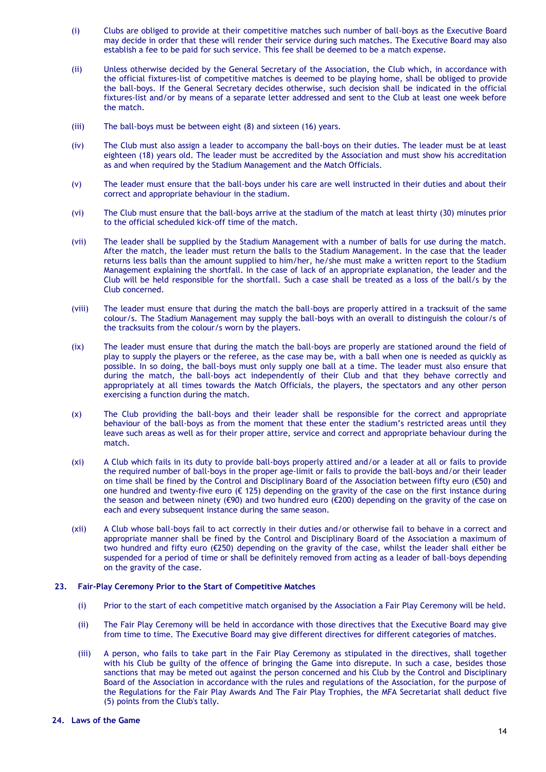- (i) Clubs are obliged to provide at their competitive matches such number of ball-boys as the Executive Board may decide in order that these will render their service during such matches. The Executive Board may also establish a fee to be paid for such service. This fee shall be deemed to be a match expense.
- (ii) Unless otherwise decided by the General Secretary of the Association, the Club which, in accordance with the official fixtures-list of competitive matches is deemed to be playing home, shall be obliged to provide the ball-boys. If the General Secretary decides otherwise, such decision shall be indicated in the official fixtures-list and/or by means of a separate letter addressed and sent to the Club at least one week before the match.
- (iii) The ball-boys must be between eight (8) and sixteen (16) years.
- (iv) The Club must also assign a leader to accompany the ball-boys on their duties. The leader must be at least eighteen (18) years old. The leader must be accredited by the Association and must show his accreditation as and when required by the Stadium Management and the Match Officials.
- (v) The leader must ensure that the ball-boys under his care are well instructed in their duties and about their correct and appropriate behaviour in the stadium.
- (vi) The Club must ensure that the ball-boys arrive at the stadium of the match at least thirty (30) minutes prior to the official scheduled kick-off time of the match.
- (vii) The leader shall be supplied by the Stadium Management with a number of balls for use during the match. After the match, the leader must return the balls to the Stadium Management. In the case that the leader returns less balls than the amount supplied to him/her, he/she must make a written report to the Stadium Management explaining the shortfall. In the case of lack of an appropriate explanation, the leader and the Club will be held responsible for the shortfall. Such a case shall be treated as a loss of the ball/s by the Club concerned.
- (viii) The leader must ensure that during the match the ball-boys are properly attired in a tracksuit of the same colour/s. The Stadium Management may supply the ball-boys with an overall to distinguish the colour/s of the tracksuits from the colour/s worn by the players.
- (ix) The leader must ensure that during the match the ball-boys are properly are stationed around the field of play to supply the players or the referee, as the case may be, with a ball when one is needed as quickly as possible. In so doing, the ball-boys must only supply one ball at a time. The leader must also ensure that during the match, the ball-boys act independently of their Club and that they behave correctly and appropriately at all times towards the Match Officials, the players, the spectators and any other person exercising a function during the match.
- (x) The Club providing the ball-boys and their leader shall be responsible for the correct and appropriate behaviour of the ball-boys as from the moment that these enter the stadium's restricted areas until they leave such areas as well as for their proper attire, service and correct and appropriate behaviour during the match.
- (xi) A Club which fails in its duty to provide ball-boys properly attired and/or a leader at all or fails to provide the required number of ball-boys in the proper age-limit or fails to provide the ball-boys and/or their leader on time shall be fined by the Control and Disciplinary Board of the Association between fifty euro (€50) and one hundred and twenty-five euro ( $\epsilon$  125) depending on the gravity of the case on the first instance during the season and between ninety (€90) and two hundred euro (€200) depending on the gravity of the case on each and every subsequent instance during the same season.
- (xii) A Club whose ball-boys fail to act correctly in their duties and/or otherwise fail to behave in a correct and appropriate manner shall be fined by the Control and Disciplinary Board of the Association a maximum of two hundred and fifty euro (€250) depending on the gravity of the case, whilst the leader shall either be suspended for a period of time or shall be definitely removed from acting as a leader of ball-boys depending on the gravity of the case.

### **23. Fair-Play Ceremony Prior to the Start of Competitive Matches**

- (i) Prior to the start of each competitive match organised by the Association a Fair Play Ceremony will be held.
- (ii) The Fair Play Ceremony will be held in accordance with those directives that the Executive Board may give from time to time. The Executive Board may give different directives for different categories of matches.
- (iii) A person, who fails to take part in the Fair Play Ceremony as stipulated in the directives, shall together with his Club be guilty of the offence of bringing the Game into disrepute. In such a case, besides those sanctions that may be meted out against the person concerned and his Club by the Control and Disciplinary Board of the Association in accordance with the rules and regulations of the Association, for the purpose of the Regulations for the Fair Play Awards And The Fair Play Trophies, the MFA Secretariat shall deduct five (5) points from the Club's tally.

# **24. Laws of the Game**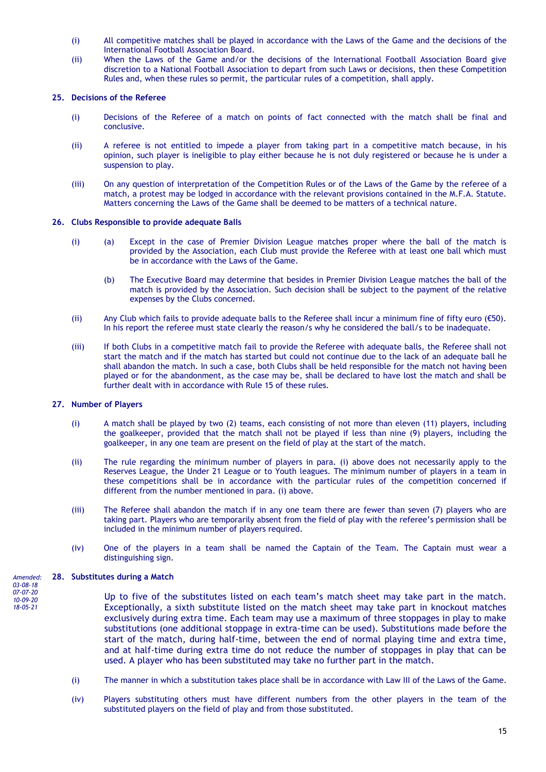- (i) All competitive matches shall be played in accordance with the Laws of the Game and the decisions of the International Football Association Board.
- (ii) When the Laws of the Game and/or the decisions of the International Football Association Board give discretion to a National Football Association to depart from such Laws or decisions, then these Competition Rules and, when these rules so permit, the particular rules of a competition, shall apply.

# **25. Decisions of the Referee**

- (i) Decisions of the Referee of a match on points of fact connected with the match shall be final and conclusive.
- (ii) A referee is not entitled to impede a player from taking part in a competitive match because, in his opinion, such player is ineligible to play either because he is not duly registered or because he is under a suspension to play.
- (iii) On any question of interpretation of the Competition Rules or of the Laws of the Game by the referee of a match, a protest may be lodged in accordance with the relevant provisions contained in the M.F.A. Statute. Matters concerning the Laws of the Game shall be deemed to be matters of a technical nature.

# **26. Clubs Responsible to provide adequate Balls**

- (i) (a) Except in the case of Premier Division League matches proper where the ball of the match is provided by the Association, each Club must provide the Referee with at least one ball which must be in accordance with the Laws of the Game.
	- (b) The Executive Board may determine that besides in Premier Division League matches the ball of the match is provided by the Association. Such decision shall be subject to the payment of the relative expenses by the Clubs concerned.
- (ii) Any Club which fails to provide adequate balls to the Referee shall incur a minimum fine of fifty euro (€50). In his report the referee must state clearly the reason/s why he considered the ball/s to be inadequate.
- (iii) If both Clubs in a competitive match fail to provide the Referee with adequate balls, the Referee shall not start the match and if the match has started but could not continue due to the lack of an adequate ball he shall abandon the match. In such a case, both Clubs shall be held responsible for the match not having been played or for the abandonment, as the case may be, shall be declared to have lost the match and shall be further dealt with in accordance with Rule 15 of these rules.

# **27. Number of Players**

- (i) A match shall be played by two (2) teams, each consisting of not more than eleven (11) players, including the goalkeeper, provided that the match shall not be played if less than nine (9) players, including the goalkeeper, in any one team are present on the field of play at the start of the match.
- (ii) The rule regarding the minimum number of players in para. (i) above does not necessarily apply to the Reserves League, the Under 21 League or to Youth leagues. The minimum number of players in a team in these competitions shall be in accordance with the particular rules of the competition concerned if different from the number mentioned in para. (i) above.
- (iii) The Referee shall abandon the match if in any one team there are fewer than seven (7) players who are taking part. Players who are temporarily absent from the field of play with the referee's permission shall be included in the minimum number of players required.
- (iv) One of the players in a team shall be named the Captain of the Team. The Captain must wear a distinguishing sign.

#### **28. Substitutes during a Match** *Amended: 03-08-18*

*07-07-20 10-09-20 18-05-21*

- Up to five of the substitutes listed on each team's match sheet may take part in the match. Exceptionally, a sixth substitute listed on the match sheet may take part in knockout matches exclusively during extra time. Each team may use a maximum of three stoppages in play to make substitutions (one additional stoppage in extra-time can be used). Substitutions made before the start of the match, during half-time, between the end of normal playing time and extra time, and at half-time during extra time do not reduce the number of stoppages in play that can be used. A player who has been substituted may take no further part in the match.
- (i) The manner in which a substitution takes place shall be in accordance with Law III of the Laws of the Game.
- (iv) Players substituting others must have different numbers from the other players in the team of the substituted players on the field of play and from those substituted.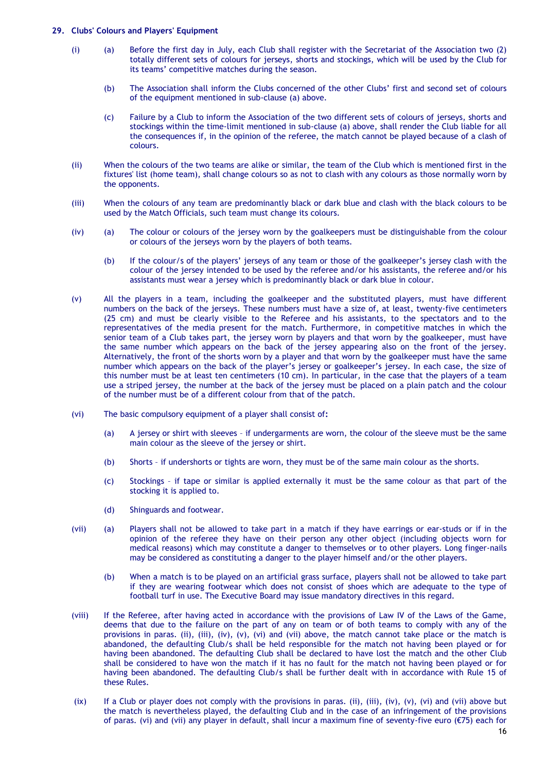### **29. Clubs' Colours and Players' Equipment**

- (i) (a) Before the first day in July, each Club shall register with the Secretariat of the Association two (2) totally different sets of colours for jerseys, shorts and stockings, which will be used by the Club for its teams' competitive matches during the season.
	- (b) The Association shall inform the Clubs concerned of the other Clubs' first and second set of colours of the equipment mentioned in sub-clause (a) above.
	- (c) Failure by a Club to inform the Association of the two different sets of colours of jerseys, shorts and stockings within the time-limit mentioned in sub-clause (a) above, shall render the Club liable for all the consequences if, in the opinion of the referee, the match cannot be played because of a clash of colours.
- (ii) When the colours of the two teams are alike or similar, the team of the Club which is mentioned first in the fixtures' list (home team), shall change colours so as not to clash with any colours as those normally worn by the opponents.
- (iii) When the colours of any team are predominantly black or dark blue and clash with the black colours to be used by the Match Officials, such team must change its colours.
- (iv) (a) The colour or colours of the jersey worn by the goalkeepers must be distinguishable from the colour or colours of the jerseys worn by the players of both teams.
	- (b) If the colour/s of the players' jerseys of any team or those of the goalkeeper's jersey clash with the colour of the jersey intended to be used by the referee and/or his assistants, the referee and/or his assistants must wear a jersey which is predominantly black or dark blue in colour.
- (v) All the players in a team, including the goalkeeper and the substituted players, must have different numbers on the back of the jerseys. These numbers must have a size of, at least, twenty-five centimeters (25 cm) and must be clearly visible to the Referee and his assistants, to the spectators and to the representatives of the media present for the match. Furthermore, in competitive matches in which the senior team of a Club takes part, the jersey worn by players and that worn by the goalkeeper, must have the same number which appears on the back of the jersey appearing also on the front of the jersey. Alternatively, the front of the shorts worn by a player and that worn by the goalkeeper must have the same number which appears on the back of the player's jersey or goalkeeper's jersey. In each case, the size of this number must be at least ten centimeters (10 cm). In particular, in the case that the players of a team use a striped jersey, the number at the back of the jersey must be placed on a plain patch and the colour of the number must be of a different colour from that of the patch.
- (vi) The basic compulsory equipment of a player shall consist of**:**
	- (a) A jersey or shirt with sleeves if undergarments are worn, the colour of the sleeve must be the same main colour as the sleeve of the jersey or shirt.
	- (b) Shorts if undershorts or tights are worn, they must be of the same main colour as the shorts.
	- (c) Stockings if tape or similar is applied externally it must be the same colour as that part of the stocking it is applied to.
	- (d) Shinguards and footwear.
- (vii) (a) Players shall not be allowed to take part in a match if they have earrings or ear-studs or if in the opinion of the referee they have on their person any other object (including objects worn for medical reasons) which may constitute a danger to themselves or to other players. Long finger-nails may be considered as constituting a danger to the player himself and/or the other players.
	- (b) When a match is to be played on an artificial grass surface, players shall not be allowed to take part if they are wearing footwear which does not consist of shoes which are adequate to the type of football turf in use. The Executive Board may issue mandatory directives in this regard.
- (viii) If the Referee, after having acted in accordance with the provisions of Law IV of the Laws of the Game, deems that due to the failure on the part of any on team or of both teams to comply with any of the provisions in paras. (ii), (iii), (iv), (v), (vi) and (vii) above, the match cannot take place or the match is abandoned, the defaulting Club/s shall be held responsible for the match not having been played or for having been abandoned. The defaulting Club shall be declared to have lost the match and the other Club shall be considered to have won the match if it has no fault for the match not having been played or for having been abandoned. The defaulting Club/s shall be further dealt with in accordance with Rule 15 of these Rules.
- $(ix)$  If a Club or player does not comply with the provisions in paras. (ii), (iii), (iv), (v), (vi) and (vii) above but the match is nevertheless played, the defaulting Club and in the case of an infringement of the provisions of paras. (vi) and (vii) any player in default, shall incur a maximum fine of seventy-five euro (€75) each for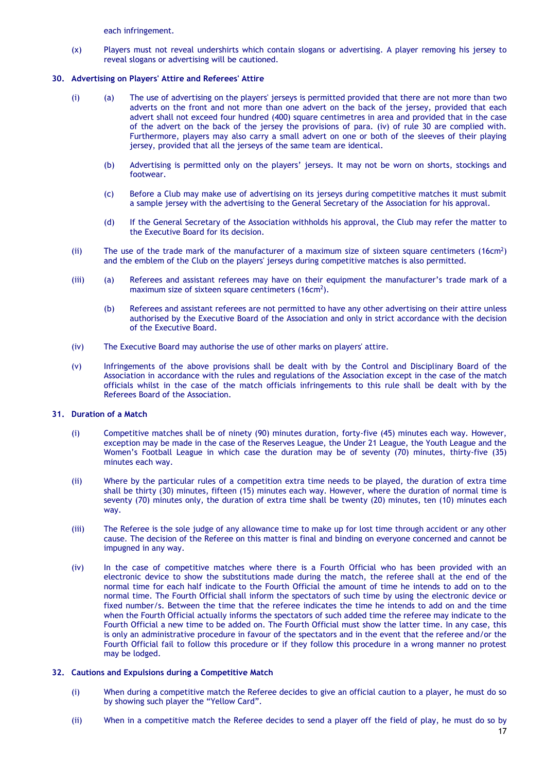each infringement.

(x) Players must not reveal undershirts which contain slogans or advertising. A player removing his jersey to reveal slogans or advertising will be cautioned.

# **30. Advertising on Players' Attire and Referees' Attire**

- (i) (a) The use of advertising on the players' jerseys is permitted provided that there are not more than two adverts on the front and not more than one advert on the back of the jersey, provided that each advert shall not exceed four hundred (400) square centimetres in area and provided that in the case of the advert on the back of the jersey the provisions of para. (iv) of rule 30 are complied with. Furthermore, players may also carry a small advert on one or both of the sleeves of their playing jersey, provided that all the jerseys of the same team are identical.
	- (b) Advertising is permitted only on the players' jerseys. It may not be worn on shorts, stockings and footwear.
	- (c) Before a Club may make use of advertising on its jerseys during competitive matches it must submit a sample jersey with the advertising to the General Secretary of the Association for his approval.
	- (d) If the General Secretary of the Association withholds his approval, the Club may refer the matter to the Executive Board for its decision.
- (ii) The use of the trade mark of the manufacturer of a maximum size of sixteen square centimeters  $(16cm^2)$ and the emblem of the Club on the players' jerseys during competitive matches is also permitted.
- (iii) (a) Referees and assistant referees may have on their equipment the manufacturer's trade mark of a maximum size of sixteen square centimeters  $(16cm^2)$ .
	- (b) Referees and assistant referees are not permitted to have any other advertising on their attire unless authorised by the Executive Board of the Association and only in strict accordance with the decision of the Executive Board.
- (iv) The Executive Board may authorise the use of other marks on players' attire.
- (v) Infringements of the above provisions shall be dealt with by the Control and Disciplinary Board of the Association in accordance with the rules and regulations of the Association except in the case of the match officials whilst in the case of the match officials infringements to this rule shall be dealt with by the Referees Board of the Association.

# **31. Duration of a Match**

- (i) Competitive matches shall be of ninety (90) minutes duration, forty-five (45) minutes each way. However, exception may be made in the case of the Reserves League, the Under 21 League, the Youth League and the Women's Football League in which case the duration may be of seventy (70) minutes, thirty-five (35) minutes each way.
- (ii) Where by the particular rules of a competition extra time needs to be played, the duration of extra time shall be thirty (30) minutes, fifteen (15) minutes each way. However, where the duration of normal time is seventy (70) minutes only, the duration of extra time shall be twenty (20) minutes, ten (10) minutes each way.
- (iii) The Referee is the sole judge of any allowance time to make up for lost time through accident or any other cause. The decision of the Referee on this matter is final and binding on everyone concerned and cannot be impugned in any way.
- (iv) In the case of competitive matches where there is a Fourth Official who has been provided with an electronic device to show the substitutions made during the match, the referee shall at the end of the normal time for each half indicate to the Fourth Official the amount of time he intends to add on to the normal time. The Fourth Official shall inform the spectators of such time by using the electronic device or fixed number/s. Between the time that the referee indicates the time he intends to add on and the time when the Fourth Official actually informs the spectators of such added time the referee may indicate to the Fourth Official a new time to be added on. The Fourth Official must show the latter time. In any case, this is only an administrative procedure in favour of the spectators and in the event that the referee and/or the Fourth Official fail to follow this procedure or if they follow this procedure in a wrong manner no protest may be lodged.

# **32. Cautions and Expulsions during a Competitive Match**

- (i) When during a competitive match the Referee decides to give an official caution to a player, he must do so by showing such player the "Yellow Card".
- (ii) When in a competitive match the Referee decides to send a player off the field of play, he must do so by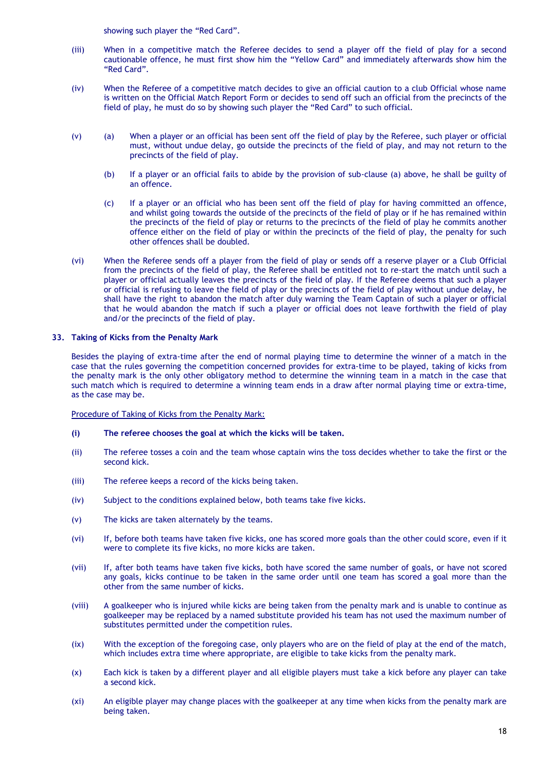showing such player the "Red Card".

- (iii) When in a competitive match the Referee decides to send a player off the field of play for a second cautionable offence, he must first show him the "Yellow Card" and immediately afterwards show him the "Red Card".
- (iv) When the Referee of a competitive match decides to give an official caution to a club Official whose name is written on the Official Match Report Form or decides to send off such an official from the precincts of the field of play, he must do so by showing such player the "Red Card" to such official.
- (v) (a) When a player or an official has been sent off the field of play by the Referee, such player or official must, without undue delay, go outside the precincts of the field of play, and may not return to the precincts of the field of play.
	- (b) If a player or an official fails to abide by the provision of sub-clause (a) above, he shall be guilty of an offence.
	- (c) If a player or an official who has been sent off the field of play for having committed an offence, and whilst going towards the outside of the precincts of the field of play or if he has remained within the precincts of the field of play or returns to the precincts of the field of play he commits another offence either on the field of play or within the precincts of the field of play, the penalty for such other offences shall be doubled.
- (vi) When the Referee sends off a player from the field of play or sends off a reserve player or a Club Official from the precincts of the field of play, the Referee shall be entitled not to re-start the match until such a player or official actually leaves the precincts of the field of play. If the Referee deems that such a player or official is refusing to leave the field of play or the precincts of the field of play without undue delay, he shall have the right to abandon the match after duly warning the Team Captain of such a player or official that he would abandon the match if such a player or official does not leave forthwith the field of play and/or the precincts of the field of play.

# **33. Taking of Kicks from the Penalty Mark**

Besides the playing of extra-time after the end of normal playing time to determine the winner of a match in the case that the rules governing the competition concerned provides for extra-time to be played, taking of kicks from the penalty mark is the only other obligatory method to determine the winning team in a match in the case that such match which is required to determine a winning team ends in a draw after normal playing time or extra-time, as the case may be.

Procedure of Taking of Kicks from the Penalty Mark:

- **(i) The referee chooses the goal at which the kicks will be taken.**
- (ii) The referee tosses a coin and the team whose captain wins the toss decides whether to take the first or the second kick.
- (iii) The referee keeps a record of the kicks being taken.
- (iv) Subject to the conditions explained below, both teams take five kicks.
- (v) The kicks are taken alternately by the teams.
- (vi) If, before both teams have taken five kicks, one has scored more goals than the other could score, even if it were to complete its five kicks, no more kicks are taken.
- (vii) If, after both teams have taken five kicks, both have scored the same number of goals, or have not scored any goals, kicks continue to be taken in the same order until one team has scored a goal more than the other from the same number of kicks.
- (viii) A goalkeeper who is injured while kicks are being taken from the penalty mark and is unable to continue as goalkeeper may be replaced by a named substitute provided his team has not used the maximum number of substitutes permitted under the competition rules.
- (ix) With the exception of the foregoing case, only players who are on the field of play at the end of the match, which includes extra time where appropriate, are eligible to take kicks from the penalty mark.
- (x) Each kick is taken by a different player and all eligible players must take a kick before any player can take a second kick.
- (xi) An eligible player may change places with the goalkeeper at any time when kicks from the penalty mark are being taken.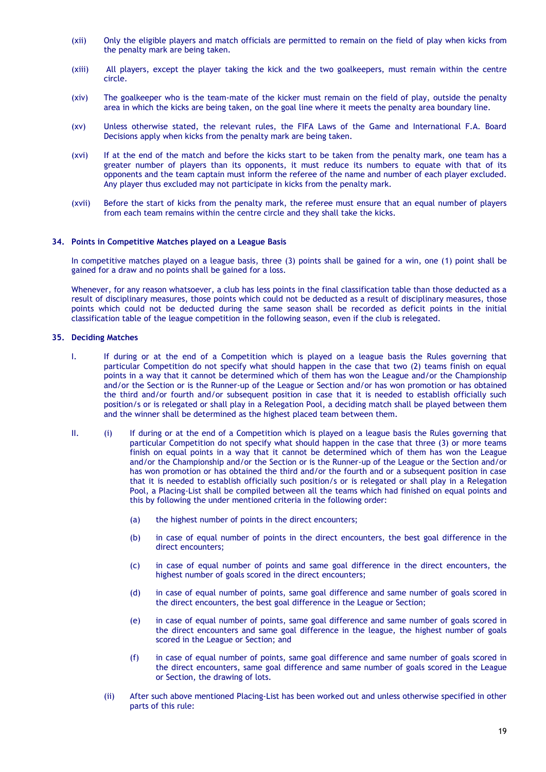- (xii) Only the eligible players and match officials are permitted to remain on the field of play when kicks from the penalty mark are being taken.
- (xiii) All players, except the player taking the kick and the two goalkeepers, must remain within the centre circle.
- (xiv) The goalkeeper who is the team-mate of the kicker must remain on the field of play, outside the penalty area in which the kicks are being taken, on the goal line where it meets the penalty area boundary line.
- (xv) Unless otherwise stated, the relevant rules, the FIFA Laws of the Game and International F.A. Board Decisions apply when kicks from the penalty mark are being taken.
- (xvi) If at the end of the match and before the kicks start to be taken from the penalty mark, one team has a greater number of players than its opponents, it must reduce its numbers to equate with that of its opponents and the team captain must inform the referee of the name and number of each player excluded. Any player thus excluded may not participate in kicks from the penalty mark.
- (xvii) Before the start of kicks from the penalty mark, the referee must ensure that an equal number of players from each team remains within the centre circle and they shall take the kicks.

# **34. Points in Competitive Matches played on a League Basis**

In competitive matches played on a league basis, three (3) points shall be gained for a win, one (1) point shall be gained for a draw and no points shall be gained for a loss.

Whenever, for any reason whatsoever, a club has less points in the final classification table than those deducted as a result of disciplinary measures, those points which could not be deducted as a result of disciplinary measures, those points which could not be deducted during the same season shall be recorded as deficit points in the initial classification table of the league competition in the following season, even if the club is relegated.

# **35. Deciding Matches**

- I. If during or at the end of a Competition which is played on a league basis the Rules governing that particular Competition do not specify what should happen in the case that two (2) teams finish on equal points in a way that it cannot be determined which of them has won the League and/or the Championship and/or the Section or is the Runner-up of the League or Section and/or has won promotion or has obtained the third and/or fourth and/or subsequent position in case that it is needed to establish officially such position/s or is relegated or shall play in a Relegation Pool, a deciding match shall be played between them and the winner shall be determined as the highest placed team between them.
- II. (i) If during or at the end of a Competition which is played on a league basis the Rules governing that particular Competition do not specify what should happen in the case that three (3) or more teams finish on equal points in a way that it cannot be determined which of them has won the League and/or the Championship and/or the Section or is the Runner-up of the League or the Section and/or has won promotion or has obtained the third and/or the fourth and or a subsequent position in case that it is needed to establish officially such position/s or is relegated or shall play in a Relegation Pool, a Placing-List shall be compiled between all the teams which had finished on equal points and this by following the under mentioned criteria in the following order:
	- (a) the highest number of points in the direct encounters;
	- (b) in case of equal number of points in the direct encounters, the best goal difference in the direct encounters;
	- (c) in case of equal number of points and same goal difference in the direct encounters, the highest number of goals scored in the direct encounters;
	- (d) in case of equal number of points, same goal difference and same number of goals scored in the direct encounters, the best goal difference in the League or Section;
	- (e) in case of equal number of points, same goal difference and same number of goals scored in the direct encounters and same goal difference in the league, the highest number of goals scored in the League or Section; and
	- (f) in case of equal number of points, same goal difference and same number of goals scored in the direct encounters, same goal difference and same number of goals scored in the League or Section, the drawing of lots.
	- (ii) After such above mentioned Placing-List has been worked out and unless otherwise specified in other parts of this rule: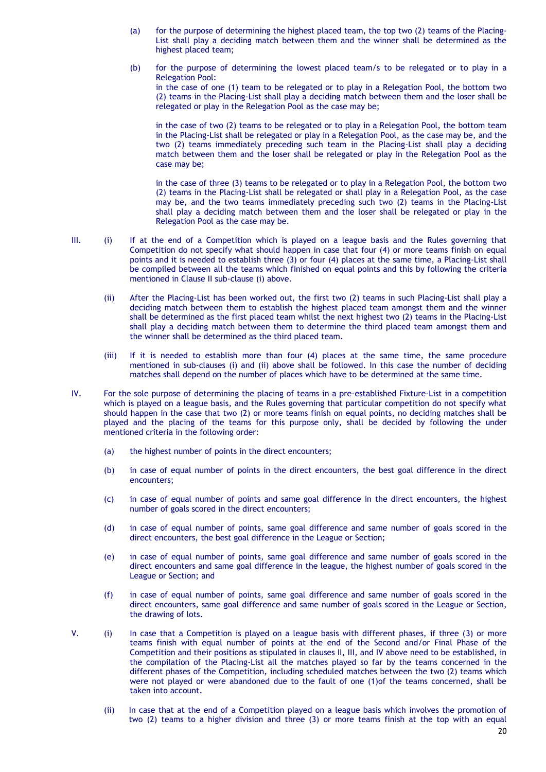- (a) for the purpose of determining the highest placed team, the top two (2) teams of the Placing-List shall play a deciding match between them and the winner shall be determined as the highest placed team;
- (b) for the purpose of determining the lowest placed team/s to be relegated or to play in a Relegation Pool: in the case of one (1) team to be relegated or to play in a Relegation Pool, the bottom two (2) teams in the Placing-List shall play a deciding match between them and the loser shall be relegated or play in the Relegation Pool as the case may be;

in the case of two (2) teams to be relegated or to play in a Relegation Pool, the bottom team in the Placing-List shall be relegated or play in a Relegation Pool, as the case may be, and the two (2) teams immediately preceding such team in the Placing-List shall play a deciding match between them and the loser shall be relegated or play in the Relegation Pool as the case may be;

in the case of three (3) teams to be relegated or to play in a Relegation Pool, the bottom two (2) teams in the Placing-List shall be relegated or shall play in a Relegation Pool, as the case may be, and the two teams immediately preceding such two (2) teams in the Placing-List shall play a deciding match between them and the loser shall be relegated or play in the Relegation Pool as the case may be.

- III. (i) If at the end of a Competition which is played on a league basis and the Rules governing that Competition do not specify what should happen in case that four (4) or more teams finish on equal points and it is needed to establish three (3) or four (4) places at the same time, a Placing-List shall be compiled between all the teams which finished on equal points and this by following the criteria mentioned in Clause II sub-clause (i) above.
	- (ii) After the Placing-List has been worked out, the first two (2) teams in such Placing-List shall play a deciding match between them to establish the highest placed team amongst them and the winner shall be determined as the first placed team whilst the next highest two (2) teams in the Placing-List shall play a deciding match between them to determine the third placed team amongst them and the winner shall be determined as the third placed team.
	- (iii) If it is needed to establish more than four (4) places at the same time, the same procedure mentioned in sub-clauses (i) and (ii) above shall be followed. In this case the number of deciding matches shall depend on the number of places which have to be determined at the same time.
- IV. For the sole purpose of determining the placing of teams in a pre-established Fixture-List in a competition which is played on a league basis, and the Rules governing that particular competition do not specify what should happen in the case that two (2) or more teams finish on equal points, no deciding matches shall be played and the placing of the teams for this purpose only, shall be decided by following the under mentioned criteria in the following order:
	- (a) the highest number of points in the direct encounters;
	- (b) in case of equal number of points in the direct encounters, the best goal difference in the direct encounters;
	- (c) in case of equal number of points and same goal difference in the direct encounters, the highest number of goals scored in the direct encounters;
	- (d) in case of equal number of points, same goal difference and same number of goals scored in the direct encounters, the best goal difference in the League or Section;
	- (e) in case of equal number of points, same goal difference and same number of goals scored in the direct encounters and same goal difference in the league, the highest number of goals scored in the League or Section; and
	- (f) in case of equal number of points, same goal difference and same number of goals scored in the direct encounters, same goal difference and same number of goals scored in the League or Section, the drawing of lots.

V. (i) In case that a Competition is played on a league basis with different phases, if three (3) or more teams finish with equal number of points at the end of the Second and/or Final Phase of the Competition and their positions as stipulated in clauses II, III, and IV above need to be established, in the compilation of the Placing-List all the matches played so far by the teams concerned in the different phases of the Competition, including scheduled matches between the two (2) teams which were not played or were abandoned due to the fault of one (1)of the teams concerned, shall be taken into account.

(ii) In case that at the end of a Competition played on a league basis which involves the promotion of two (2) teams to a higher division and three (3) or more teams finish at the top with an equal

20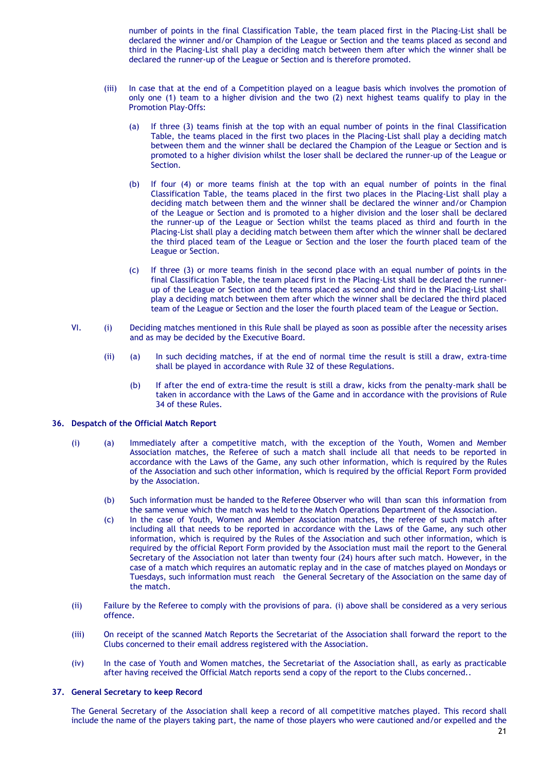number of points in the final Classification Table, the team placed first in the Placing-List shall be declared the winner and/or Champion of the League or Section and the teams placed as second and third in the Placing-List shall play a deciding match between them after which the winner shall be declared the runner-up of the League or Section and is therefore promoted.

- (iii) In case that at the end of a Competition played on a league basis which involves the promotion of only one (1) team to a higher division and the two (2) next highest teams qualify to play in the Promotion Play-Offs:
	- (a) If three (3) teams finish at the top with an equal number of points in the final Classification Table, the teams placed in the first two places in the Placing-List shall play a deciding match between them and the winner shall be declared the Champion of the League or Section and is promoted to a higher division whilst the loser shall be declared the runner-up of the League or Section.
	- (b) If four (4) or more teams finish at the top with an equal number of points in the final Classification Table, the teams placed in the first two places in the Placing-List shall play a deciding match between them and the winner shall be declared the winner and/or Champion of the League or Section and is promoted to a higher division and the loser shall be declared the runner-up of the League or Section whilst the teams placed as third and fourth in the Placing-List shall play a deciding match between them after which the winner shall be declared the third placed team of the League or Section and the loser the fourth placed team of the League or Section.
	- (c) If three (3) or more teams finish in the second place with an equal number of points in the final Classification Table, the team placed first in the Placing-List shall be declared the runnerup of the League or Section and the teams placed as second and third in the Placing-List shall play a deciding match between them after which the winner shall be declared the third placed team of the League or Section and the loser the fourth placed team of the League or Section.
- VI. (i) Deciding matches mentioned in this Rule shall be played as soon as possible after the necessity arises and as may be decided by the Executive Board.
	- (ii) (a) In such deciding matches, if at the end of normal time the result is still a draw, extra-time shall be played in accordance with Rule 32 of these Regulations.
		- (b) If after the end of extra-time the result is still a draw, kicks from the penalty-mark shall be taken in accordance with the Laws of the Game and in accordance with the provisions of Rule 34 of these Rules.

# **36. Despatch of the Official Match Report**

- (i) (a) Immediately after a competitive match, with the exception of the Youth, Women and Member Association matches, the Referee of such a match shall include all that needs to be reported in accordance with the Laws of the Game, any such other information, which is required by the Rules of the Association and such other information, which is required by the official Report Form provided by the Association.
	- (b) Such information must be handed to the Referee Observer who will than scan this information from the same venue which the match was held to the Match Operations Department of the Association.
	- (c) In the case of Youth, Women and Member Association matches, the referee of such match after including all that needs to be reported in accordance with the Laws of the Game, any such other information, which is required by the Rules of the Association and such other information, which is required by the official Report Form provided by the Association must mail the report to the General Secretary of the Association not later than twenty four (24) hours after such match. However, in the case of a match which requires an automatic replay and in the case of matches played on Mondays or Tuesdays, such information must reach the General Secretary of the Association on the same day of the match.
- (ii) Failure by the Referee to comply with the provisions of para. (i) above shall be considered as a very serious offence.
- (iii) On receipt of the scanned Match Reports the Secretariat of the Association shall forward the report to the Clubs concerned to their email address registered with the Association.
- (iv) In the case of Youth and Women matches, the Secretariat of the Association shall, as early as practicable after having received the Official Match reports send a copy of the report to the Clubs concerned..

# **37. General Secretary to keep Record**

The General Secretary of the Association shall keep a record of all competitive matches played. This record shall include the name of the players taking part, the name of those players who were cautioned and/or expelled and the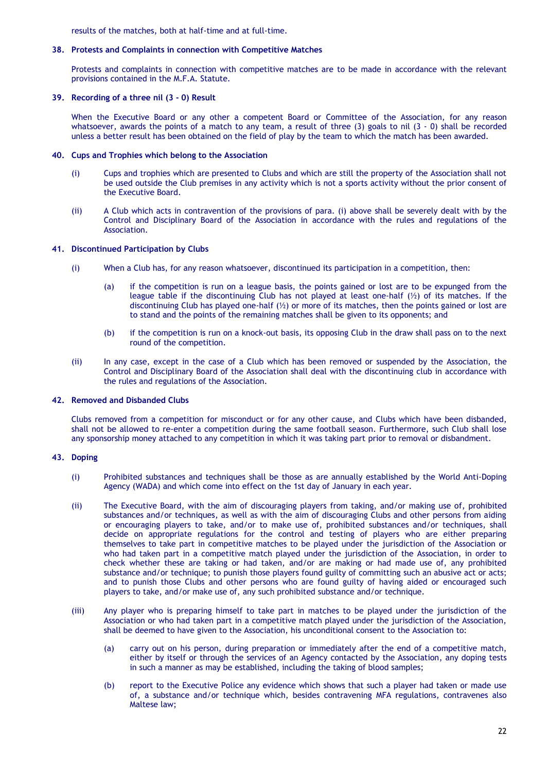results of the matches, both at half-time and at full-time.

# **38. Protests and Complaints in connection with Competitive Matches**

Protests and complaints in connection with competitive matches are to be made in accordance with the relevant provisions contained in the M.F.A. Statute.

# **39. Recording of a three nil (3 - 0) Result**

When the Executive Board or any other a competent Board or Committee of the Association, for any reason whatsoever, awards the points of a match to any team, a result of three (3) goals to nil (3 - 0) shall be recorded unless a better result has been obtained on the field of play by the team to which the match has been awarded.

# **40. Cups and Trophies which belong to the Association**

- (i) Cups and trophies which are presented to Clubs and which are still the property of the Association shall not be used outside the Club premises in any activity which is not a sports activity without the prior consent of the Executive Board.
- (ii) A Club which acts in contravention of the provisions of para. (i) above shall be severely dealt with by the Control and Disciplinary Board of the Association in accordance with the rules and regulations of the Association.

# **41. Discontinued Participation by Clubs**

- (i) When a Club has, for any reason whatsoever, discontinued its participation in a competition, then:
	- (a) if the competition is run on a league basis, the points gained or lost are to be expunged from the league table if the discontinuing Club has not played at least one-half  $(\frac{1}{2})$  of its matches. If the discontinuing Club has played one-half  $(\frac{1}{2})$  or more of its matches, then the points gained or lost are to stand and the points of the remaining matches shall be given to its opponents; and
	- (b) if the competition is run on a knock-out basis, its opposing Club in the draw shall pass on to the next round of the competition.
- (ii) In any case, except in the case of a Club which has been removed or suspended by the Association, the Control and Disciplinary Board of the Association shall deal with the discontinuing club in accordance with the rules and regulations of the Association.

# **42. Removed and Disbanded Clubs**

Clubs removed from a competition for misconduct or for any other cause, and Clubs which have been disbanded, shall not be allowed to re-enter a competition during the same football season. Furthermore, such Club shall lose any sponsorship money attached to any competition in which it was taking part prior to removal or disbandment.

# **43. Doping**

- (i) Prohibited substances and techniques shall be those as are annually established by the World Anti-Doping Agency (WADA) and which come into effect on the 1st day of January in each year.
- (ii) The Executive Board, with the aim of discouraging players from taking, and/or making use of, prohibited substances and/or techniques, as well as with the aim of discouraging Clubs and other persons from aiding or encouraging players to take, and/or to make use of, prohibited substances and/or techniques, shall decide on appropriate regulations for the control and testing of players who are either preparing themselves to take part in competitive matches to be played under the jurisdiction of the Association or who had taken part in a competitive match played under the jurisdiction of the Association, in order to check whether these are taking or had taken, and/or are making or had made use of, any prohibited substance and/or technique; to punish those players found guilty of committing such an abusive act or acts; and to punish those Clubs and other persons who are found guilty of having aided or encouraged such players to take, and/or make use of, any such prohibited substance and/or technique.
- (iii) Any player who is preparing himself to take part in matches to be played under the jurisdiction of the Association or who had taken part in a competitive match played under the jurisdiction of the Association, shall be deemed to have given to the Association, his unconditional consent to the Association to:
	- (a) carry out on his person, during preparation or immediately after the end of a competitive match, either by itself or through the services of an Agency contacted by the Association, any doping tests in such a manner as may be established, including the taking of blood samples;
	- (b) report to the Executive Police any evidence which shows that such a player had taken or made use of, a substance and/or technique which, besides contravening MFA regulations, contravenes also Maltese law;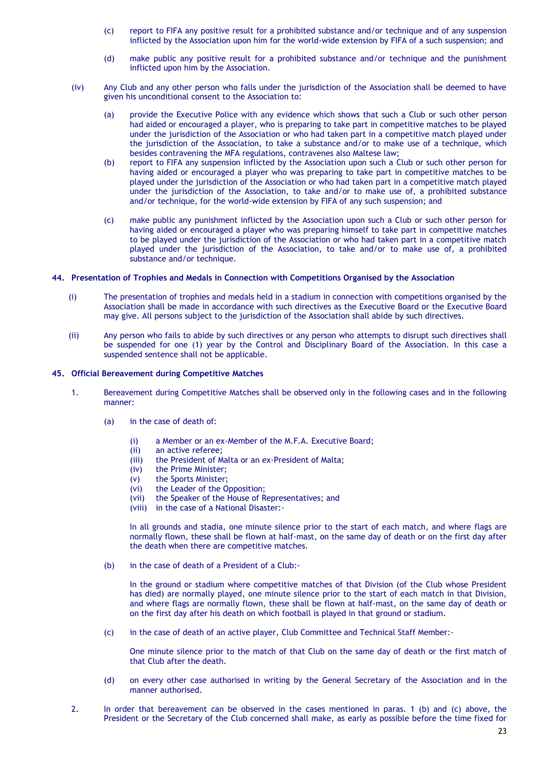- (c) report to FIFA any positive result for a prohibited substance and/or technique and of any suspension inflicted by the Association upon him for the world-wide extension by FIFA of a such suspension; and
- (d) make public any positive result for a prohibited substance and/or technique and the punishment inflicted upon him by the Association.
- (iv) Any Club and any other person who falls under the jurisdiction of the Association shall be deemed to have given his unconditional consent to the Association to:
	- (a) provide the Executive Police with any evidence which shows that such a Club or such other person had aided or encouraged a player, who is preparing to take part in competitive matches to be played under the jurisdiction of the Association or who had taken part in a competitive match played under the jurisdiction of the Association, to take a substance and/or to make use of a technique, which besides contravening the MFA regulations, contravenes also Maltese law;
	- (b) report to FIFA any suspension inflicted by the Association upon such a Club or such other person for having aided or encouraged a player who was preparing to take part in competitive matches to be played under the jurisdiction of the Association or who had taken part in a competitive match played under the jurisdiction of the Association, to take and/or to make use of, a prohibited substance and/or technique, for the world-wide extension by FIFA of any such suspension; and
	- (c) make public any punishment inflicted by the Association upon such a Club or such other person for having aided or encouraged a player who was preparing himself to take part in competitive matches to be played under the jurisdiction of the Association or who had taken part in a competitive match played under the jurisdiction of the Association, to take and/or to make use of, a prohibited substance and/or technique.

### **44. Presentation of Trophies and Medals in Connection with Competitions Organised by the Association**

- (i) The presentation of trophies and medals held in a stadium in connection with competitions organised by the Association shall be made in accordance with such directives as the Executive Board or the Executive Board may give. All persons subject to the jurisdiction of the Association shall abide by such directives.
- (ii) Any person who fails to abide by such directives or any person who attempts to disrupt such directives shall be suspended for one (1) year by the Control and Disciplinary Board of the Association. In this case a suspended sentence shall not be applicable.

### **45. Official Bereavement during Competitive Matches**

- 1. Bereavement during Competitive Matches shall be observed only in the following cases and in the following manner:
	- (a) in the case of death of:
		- (i) a Member or an ex-Member of the M.F.A. Executive Board;
		- (ii) an active referee;
		- (iii) the President of Malta or an ex-President of Malta;
		- (iv) the Prime Minister;
		- (v) the Sports Minister;
		- (vi) the Leader of the Opposition;
		- (vii) the Speaker of the House of Representatives; and
		- (viii) in the case of a National Disaster:-

In all grounds and stadia, one minute silence prior to the start of each match, and where flags are normally flown, these shall be flown at half-mast, on the same day of death or on the first day after the death when there are competitive matches.

(b) in the case of death of a President of a Club:-

In the ground or stadium where competitive matches of that Division (of the Club whose President has died) are normally played, one minute silence prior to the start of each match in that Division, and where flags are normally flown, these shall be flown at half-mast, on the same day of death or on the first day after his death on which football is played in that ground or stadium.

(c) in the case of death of an active player, Club Committee and Technical Staff Member:-

One minute silence prior to the match of that Club on the same day of death or the first match of that Club after the death.

- (d) on every other case authorised in writing by the General Secretary of the Association and in the manner authorised.
- 2. In order that bereavement can be observed in the cases mentioned in paras. 1 (b) and (c) above, the President or the Secretary of the Club concerned shall make, as early as possible before the time fixed for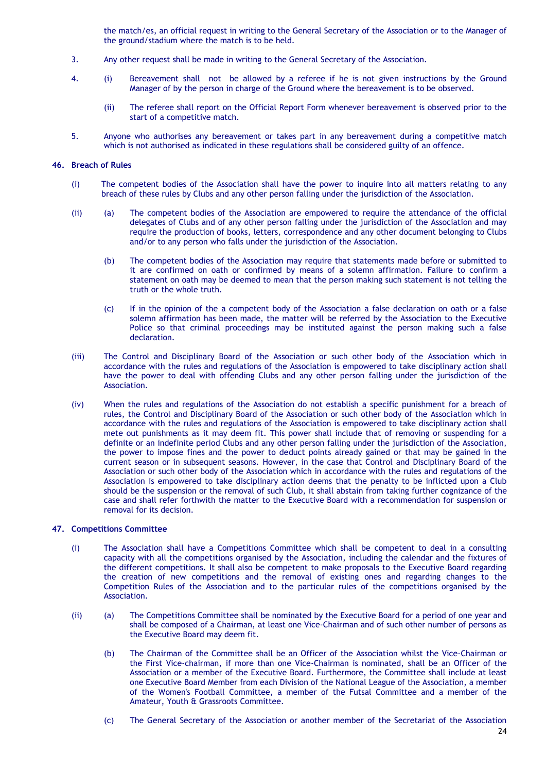the match/es, an official request in writing to the General Secretary of the Association or to the Manager of the ground/stadium where the match is to be held.

- 3. Any other request shall be made in writing to the General Secretary of the Association.
- 4. (i) Bereavement shall not be allowed by a referee if he is not given instructions by the Ground Manager of by the person in charge of the Ground where the bereavement is to be observed.
	- (ii) The referee shall report on the Official Report Form whenever bereavement is observed prior to the start of a competitive match.
- 5. Anyone who authorises any bereavement or takes part in any bereavement during a competitive match which is not authorised as indicated in these regulations shall be considered guilty of an offence.

# **46. Breach of Rules**

- (i) The competent bodies of the Association shall have the power to inquire into all matters relating to any breach of these rules by Clubs and any other person falling under the jurisdiction of the Association.
- (ii) (a) The competent bodies of the Association are empowered to require the attendance of the official delegates of Clubs and of any other person falling under the jurisdiction of the Association and may require the production of books, letters, correspondence and any other document belonging to Clubs and/or to any person who falls under the jurisdiction of the Association.
	- (b) The competent bodies of the Association may require that statements made before or submitted to it are confirmed on oath or confirmed by means of a solemn affirmation. Failure to confirm a statement on oath may be deemed to mean that the person making such statement is not telling the truth or the whole truth.
	- (c) If in the opinion of the a competent body of the Association a false declaration on oath or a false solemn affirmation has been made, the matter will be referred by the Association to the Executive Police so that criminal proceedings may be instituted against the person making such a false declaration.
- (iii) The Control and Disciplinary Board of the Association or such other body of the Association which in accordance with the rules and regulations of the Association is empowered to take disciplinary action shall have the power to deal with offending Clubs and any other person falling under the jurisdiction of the Association.
- (iv) When the rules and regulations of the Association do not establish a specific punishment for a breach of rules, the Control and Disciplinary Board of the Association or such other body of the Association which in accordance with the rules and regulations of the Association is empowered to take disciplinary action shall mete out punishments as it may deem fit. This power shall include that of removing or suspending for a definite or an indefinite period Clubs and any other person falling under the jurisdiction of the Association, the power to impose fines and the power to deduct points already gained or that may be gained in the current season or in subsequent seasons. However, in the case that Control and Disciplinary Board of the Association or such other body of the Association which in accordance with the rules and regulations of the Association is empowered to take disciplinary action deems that the penalty to be inflicted upon a Club should be the suspension or the removal of such Club, it shall abstain from taking further cognizance of the case and shall refer forthwith the matter to the Executive Board with a recommendation for suspension or removal for its decision.

# **47. Competitions Committee**

- (i) The Association shall have a Competitions Committee which shall be competent to deal in a consulting capacity with all the competitions organised by the Association, including the calendar and the fixtures of the different competitions. It shall also be competent to make proposals to the Executive Board regarding the creation of new competitions and the removal of existing ones and regarding changes to the Competition Rules of the Association and to the particular rules of the competitions organised by the Association.
- (ii) (a) The Competitions Committee shall be nominated by the Executive Board for a period of one year and shall be composed of a Chairman, at least one Vice-Chairman and of such other number of persons as the Executive Board may deem fit.
	- (b) The Chairman of the Committee shall be an Officer of the Association whilst the Vice-Chairman or the First Vice-chairman, if more than one Vice-Chairman is nominated, shall be an Officer of the Association or a member of the Executive Board. Furthermore, the Committee shall include at least one Executive Board Member from each Division of the National League of the Association, a member of the Women's Football Committee, a member of the Futsal Committee and a member of the Amateur, Youth & Grassroots Committee.
	- (c) The General Secretary of the Association or another member of the Secretariat of the Association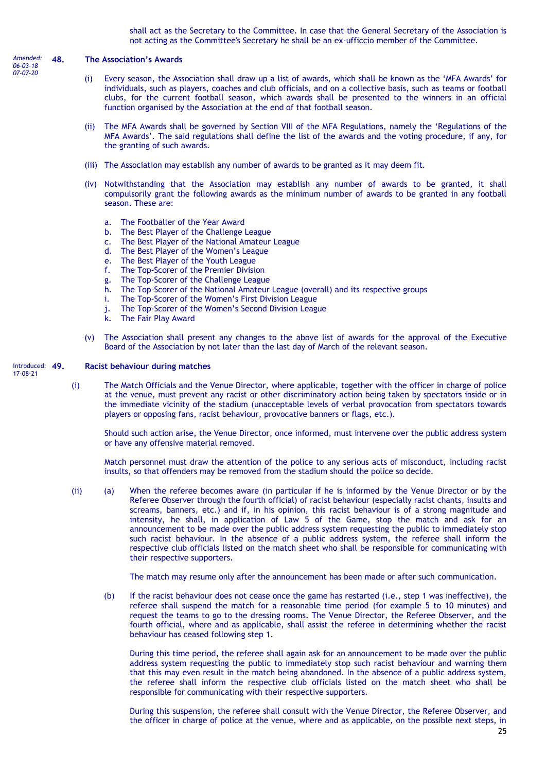shall act as the Secretary to the Committee. In case that the General Secretary of the Association is not acting as the Committee's Secretary he shall be an ex-ufficcio member of the Committee.

#### **48. The Association's Awards** *Amended:*

- *06-03-18 07-07-20*
- (i) Every season, the Association shall draw up a list of awards, which shall be known as the 'MFA Awards' for individuals, such as players, coaches and club officials, and on a collective basis, such as teams or football clubs, for the current football season, which awards shall be presented to the winners in an official function organised by the Association at the end of that football season.
- (ii) The MFA Awards shall be governed by Section VIII of the MFA Regulations, namely the 'Regulations of the MFA Awards'. The said regulations shall define the list of the awards and the voting procedure, if any, for the granting of such awards.
- (iii) The Association may establish any number of awards to be granted as it may deem fit.
- (iv) Notwithstanding that the Association may establish any number of awards to be granted, it shall compulsorily grant the following awards as the minimum number of awards to be granted in any football season. These are:
	- a. The Footballer of the Year Award
	- b. The Best Player of the Challenge League
	- c. The Best Player of the National Amateur League
	- d. The Best Player of the Women's League
	- e. The Best Player of the Youth League
	- f. The Top-Scorer of the Premier Division
	- g. The Top-Scorer of the Challenge League
	- h. The Top-Scorer of the National Amateur League (overall) and its respective groups
	- i. The Top-Scorer of the Women's First Division League
	- j. The Top-Scorer of the Women's Second Division League
	- k. The Fair Play Award
- (v) The Association shall present any changes to the above list of awards for the approval of the Executive Board of the Association by not later than the last day of March of the relevant season.

#### **49. Racist behaviour during matches** Introduced: 49.

17-08-21

(i) The Match Officials and the Venue Director, where applicable, together with the officer in charge of police at the venue, must prevent any racist or other discriminatory action being taken by spectators inside or in the immediate vicinity of the stadium (unacceptable levels of verbal provocation from spectators towards players or opposing fans, racist behaviour, provocative banners or flags, etc.).

Should such action arise, the Venue Director, once informed, must intervene over the public address system or have any offensive material removed.

Match personnel must draw the attention of the police to any serious acts of misconduct, including racist insults, so that offenders may be removed from the stadium should the police so decide.

(ii) (a) When the referee becomes aware (in particular if he is informed by the Venue Director or by the Referee Observer through the fourth official) of racist behaviour (especially racist chants, insults and screams, banners, etc.) and if, in his opinion, this racist behaviour is of a strong magnitude and intensity, he shall, in application of Law 5 of the Game, stop the match and ask for an announcement to be made over the public address system requesting the public to immediately stop such racist behaviour. In the absence of a public address system, the referee shall inform the respective club officials listed on the match sheet who shall be responsible for communicating with their respective supporters.

The match may resume only after the announcement has been made or after such communication.

(b) If the racist behaviour does not cease once the game has restarted (i.e., step 1 was ineffective), the referee shall suspend the match for a reasonable time period (for example 5 to 10 minutes) and request the teams to go to the dressing rooms. The Venue Director, the Referee Observer, and the fourth official, where and as applicable, shall assist the referee in determining whether the racist behaviour has ceased following step 1.

During this time period, the referee shall again ask for an announcement to be made over the public address system requesting the public to immediately stop such racist behaviour and warning them that this may even result in the match being abandoned. In the absence of a public address system, the referee shall inform the respective club officials listed on the match sheet who shall be responsible for communicating with their respective supporters.

During this suspension, the referee shall consult with the Venue Director, the Referee Observer, and the officer in charge of police at the venue, where and as applicable, on the possible next steps, in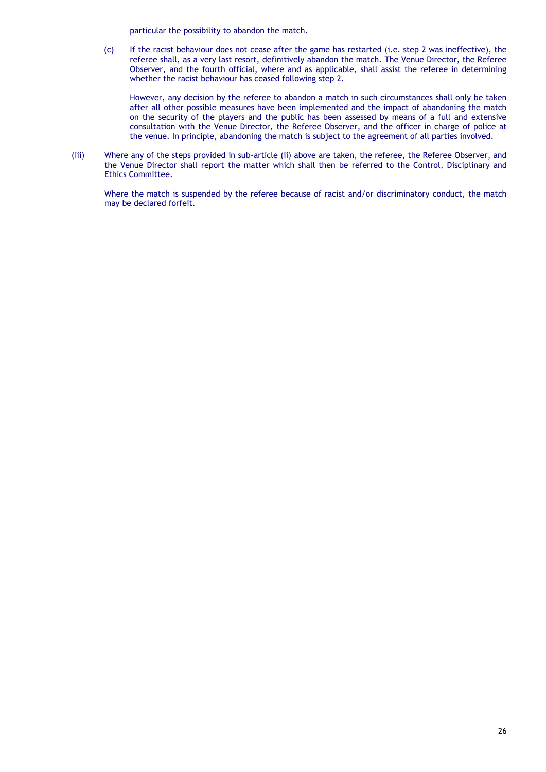particular the possibility to abandon the match.

(c) If the racist behaviour does not cease after the game has restarted (i.e. step 2 was ineffective), the referee shall, as a very last resort, definitively abandon the match. The Venue Director, the Referee Observer, and the fourth official, where and as applicable, shall assist the referee in determining whether the racist behaviour has ceased following step 2.

However, any decision by the referee to abandon a match in such circumstances shall only be taken after all other possible measures have been implemented and the impact of abandoning the match on the security of the players and the public has been assessed by means of a full and extensive consultation with the Venue Director, the Referee Observer, and the officer in charge of police at the venue. In principle, abandoning the match is subject to the agreement of all parties involved.

(iii) Where any of the steps provided in sub-article (ii) above are taken, the referee, the Referee Observer, and the Venue Director shall report the matter which shall then be referred to the Control, Disciplinary and Ethics Committee.

Where the match is suspended by the referee because of racist and/or discriminatory conduct, the match may be declared forfeit.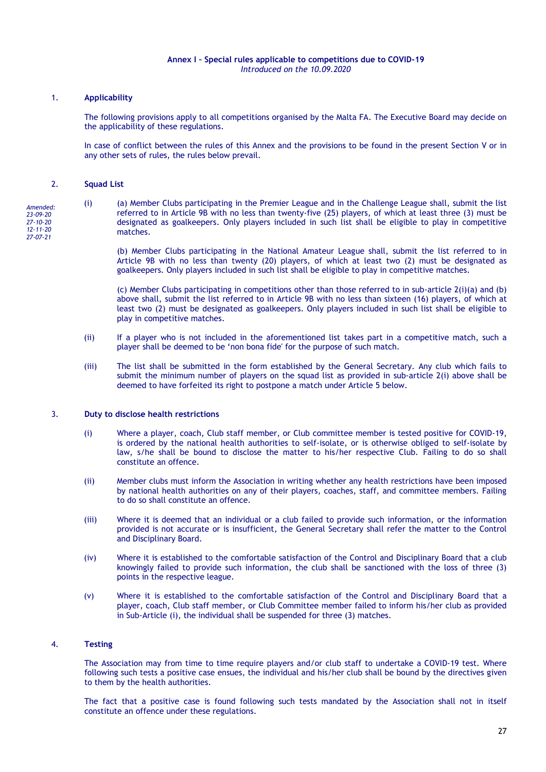# **Annex I – Special rules applicable to competitions due to COVID-19** *Introduced on the 10.09.2020*

# 1. **Applicability**

The following provisions apply to all competitions organised by the Malta FA. The Executive Board may decide on the applicability of these regulations.

In case of conflict between the rules of this Annex and the provisions to be found in the present Section V or in any other sets of rules, the rules below prevail.

# 2. **Squad List**

*Amended: 23-09-20 27-10-20 12-11-20 27-07-21*

(i) (a) Member Clubs participating in the Premier League and in the Challenge League shall, submit the list referred to in Article 9B with no less than twenty-five (25) players, of which at least three (3) must be designated as goalkeepers. Only players included in such list shall be eligible to play in competitive matches.

(b) Member Clubs participating in the National Amateur League shall, submit the list referred to in Article 9B with no less than twenty (20) players, of which at least two (2) must be designated as goalkeepers. Only players included in such list shall be eligible to play in competitive matches.

(c) Member Clubs participating in competitions other than those referred to in sub-article  $2(i)(a)$  and (b) above shall, submit the list referred to in Article 9B with no less than sixteen (16) players, of which at least two (2) must be designated as goalkeepers. Only players included in such list shall be eligible to play in competitive matches.

- (ii) If a player who is not included in the aforementioned list takes part in a competitive match, such a player shall be deemed to be 'non bona fide' for the purpose of such match.
- (iii) The list shall be submitted in the form established by the General Secretary. Any club which fails to submit the minimum number of players on the squad list as provided in sub-article 2(i) above shall be deemed to have forfeited its right to postpone a match under Article 5 below.

### 3. **Duty to disclose health restrictions**

- (i) Where a player, coach, Club staff member, or Club committee member is tested positive for COVID-19, is ordered by the national health authorities to self-isolate, or is otherwise obliged to self-isolate by law, s/he shall be bound to disclose the matter to his/her respective Club. Failing to do so shall constitute an offence.
- (ii) Member clubs must inform the Association in writing whether any health restrictions have been imposed by national health authorities on any of their players, coaches, staff, and committee members. Failing to do so shall constitute an offence.
- (iii) Where it is deemed that an individual or a club failed to provide such information, or the information provided is not accurate or is insufficient, the General Secretary shall refer the matter to the Control and Disciplinary Board.
- (iv) Where it is established to the comfortable satisfaction of the Control and Disciplinary Board that a club knowingly failed to provide such information, the club shall be sanctioned with the loss of three (3) points in the respective league.
- (v) Where it is established to the comfortable satisfaction of the Control and Disciplinary Board that a player, coach, Club staff member, or Club Committee member failed to inform his/her club as provided in Sub-Article (i), the individual shall be suspended for three (3) matches.

### 4. **Testing**

The Association may from time to time require players and/or club staff to undertake a COVID-19 test. Where following such tests a positive case ensues, the individual and his/her club shall be bound by the directives given to them by the health authorities.

The fact that a positive case is found following such tests mandated by the Association shall not in itself constitute an offence under these regulations.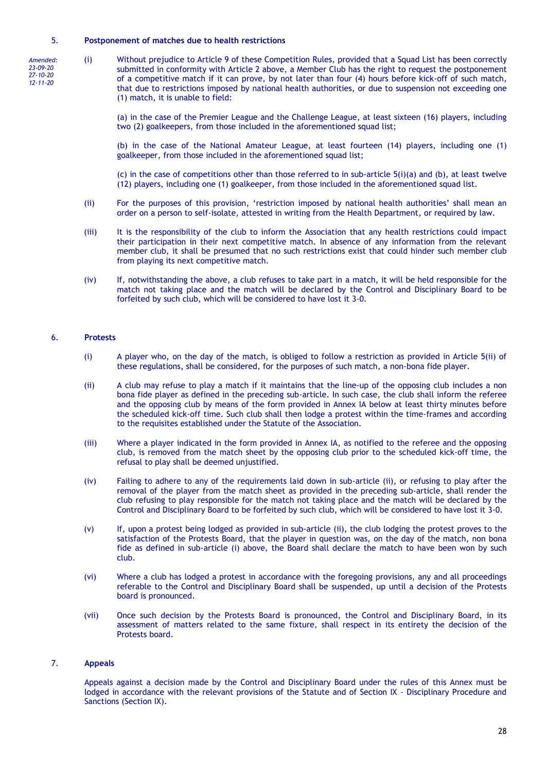### 5. **Postponement of matches due to health restrictions**

*Amended: 23-09-20 27-10-20 12-11-20*

(i) Without prejudice to Article 9 of these Competition Rules, provided that a Squad List has been correctly submitted in conformity with Article 2 above, a Member Club has the right to request the postponement of a competitive match if it can prove, by not later than four (4) hours before kick-off of such match, that due to restrictions imposed by national health authorities, or due to suspension not exceeding one (1) match, it is unable to field:

(a) in the case of the Premier League and the Challenge League, at least sixteen (16) players, including two (2) goalkeepers, from those included in the aforementioned squad list;

(b) in the case of the National Amateur League, at least fourteen (14) players, including one (1) goalkeeper, from those included in the aforementioned squad list;

(c) in the case of competitions other than those referred to in sub-article  $5(i)$ (a) and (b), at least twelve (12) players, including one (1) goalkeeper, from those included in the aforementioned squad list.

- (ii) For the purposes of this provision, 'restriction imposed by national health authorities' shall mean an order on a person to self-isolate, attested in writing from the Health Department, or required by law.
- (iii) It is the responsibility of the club to inform the Association that any health restrictions could impact their participation in their next competitive match. In absence of any information from the relevant member club, it shall be presumed that no such restrictions exist that could hinder such member club from playing its next competitive match.
- (iv) If, notwithstanding the above, a club refuses to take part in a match, it will be held responsible for the match not taking place and the match will be declared by the Control and Disciplinary Board to be forfeited by such club, which will be considered to have lost it 3-0.

# 6. **Protests**

- (i) A player who, on the day of the match, is obliged to follow a restriction as provided in Article 5(ii) of these regulations, shall be considered, for the purposes of such match, a non-bona fide player.
- (ii) A club may refuse to play a match if it maintains that the line-up of the opposing club includes a non bona fide player as defined in the preceding sub-article. In such case, the club shall inform the referee and the opposing club by means of the form provided in Annex IA below at least thirty minutes before the scheduled kick-off time. Such club shall then lodge a protest within the time-frames and according to the requisites established under the Statute of the Association.
- (iii) Where a player indicated in the form provided in Annex IA, as notified to the referee and the opposing club, is removed from the match sheet by the opposing club prior to the scheduled kick-off time, the refusal to play shall be deemed unjustified.
- (iv) Failing to adhere to any of the requirements laid down in sub-article (ii), or refusing to play after the removal of the player from the match sheet as provided in the preceding sub-article, shall render the club refusing to play responsible for the match not taking place and the match will be declared by the Control and Disciplinary Board to be forfeited by such club, which will be considered to have lost it 3-0.
- (v) If, upon a protest being lodged as provided in sub-article (ii), the club lodging the protest proves to the satisfaction of the Protests Board, that the player in question was, on the day of the match, non bona fide as defined in sub-article (i) above, the Board shall declare the match to have been won by such club.
- (vi) Where a club has lodged a protest in accordance with the foregoing provisions, any and all proceedings referable to the Control and Disciplinary Board shall be suspended, up until a decision of the Protests board is pronounced.
- (vii) Once such decision by the Protests Board is pronounced, the Control and Disciplinary Board, in its assessment of matters related to the same fixture, shall respect in its entirety the decision of the Protests board.

# 7. **Appeals**

Appeals against a decision made by the Control and Disciplinary Board under the rules of this Annex must be lodged in accordance with the relevant provisions of the Statute and of Section IX - Disciplinary Procedure and Sanctions (Section IX).